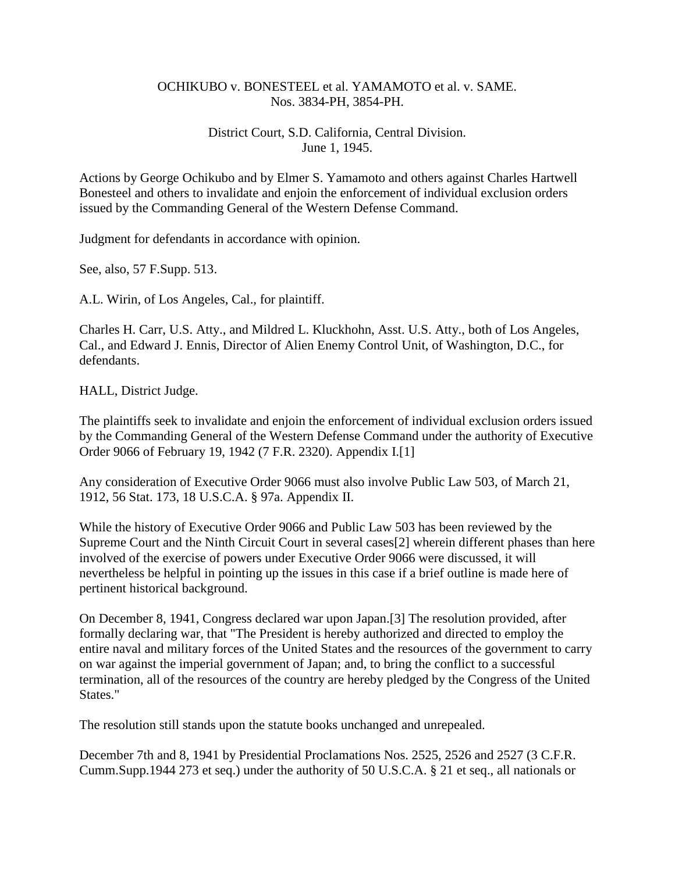### OCHIKUBO v. BONESTEEL et al. YAMAMOTO et al. v. SAME. Nos. 3834-PH, 3854-PH.

### District Court, S.D. California, Central Division. June 1, 1945.

Actions by George Ochikubo and by Elmer S. Yamamoto and others against Charles Hartwell Bonesteel and others to invalidate and enjoin the enforcement of individual exclusion orders issued by the Commanding General of the Western Defense Command.

Judgment for defendants in accordance with opinion.

See, also, 57 F.Supp. 513.

A.L. Wirin, of Los Angeles, Cal., for plaintiff.

Charles H. Carr, U.S. Atty., and Mildred L. Kluckhohn, Asst. U.S. Atty., both of Los Angeles, Cal., and Edward J. Ennis, Director of Alien Enemy Control Unit, of Washington, D.C., for defendants.

HALL, District Judge.

The plaintiffs seek to invalidate and enjoin the enforcement of individual exclusion orders issued by the Commanding General of the Western Defense Command under the authority of Executive Order 9066 of February 19, 1942 (7 F.R. 2320). Appendix I.[1]

Any consideration of Executive Order 9066 must also involve Public Law 503, of March 21, 1912, 56 Stat. 173, 18 U.S.C.A. § 97a. Appendix II.

While the history of Executive Order 9066 and Public Law 503 has been reviewed by the Supreme Court and the Ninth Circuit Court in several cases[2] wherein different phases than here involved of the exercise of powers under Executive Order 9066 were discussed, it will nevertheless be helpful in pointing up the issues in this case if a brief outline is made here of pertinent historical background.

On December 8, 1941, Congress declared war upon Japan.[3] The resolution provided, after formally declaring war, that "The President is hereby authorized and directed to employ the entire naval and military forces of the United States and the resources of the government to carry on war against the imperial government of Japan; and, to bring the conflict to a successful termination, all of the resources of the country are hereby pledged by the Congress of the United States."

The resolution still stands upon the statute books unchanged and unrepealed.

December 7th and 8, 1941 by Presidential Proclamations Nos. 2525, 2526 and 2527 (3 C.F.R. Cumm.Supp.1944 273 et seq.) under the authority of 50 U.S.C.A. § 21 et seq., all nationals or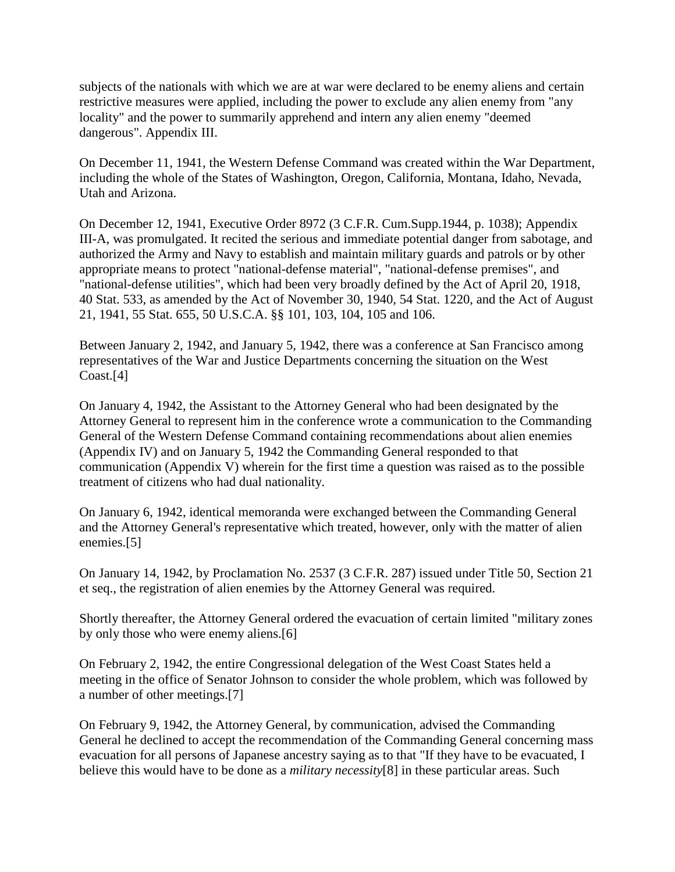subjects of the nationals with which we are at war were declared to be enemy aliens and certain restrictive measures were applied, including the power to exclude any alien enemy from "any locality" and the power to summarily apprehend and intern any alien enemy "deemed dangerous". Appendix III.

On December 11, 1941, the Western Defense Command was created within the War Department, including the whole of the States of Washington, Oregon, California, Montana, Idaho, Nevada, Utah and Arizona.

On December 12, 1941, Executive Order 8972 (3 C.F.R. Cum.Supp.1944, p. 1038); Appendix III-A, was promulgated. It recited the serious and immediate potential danger from sabotage, and authorized the Army and Navy to establish and maintain military guards and patrols or by other appropriate means to protect "national-defense material", "national-defense premises", and "national-defense utilities", which had been very broadly defined by the Act of April 20, 1918, 40 Stat. 533, as amended by the Act of November 30, 1940, 54 Stat. 1220, and the Act of August 21, 1941, 55 Stat. 655, 50 U.S.C.A. §§ 101, 103, 104, 105 and 106.

Between January 2, 1942, and January 5, 1942, there was a conference at San Francisco among representatives of the War and Justice Departments concerning the situation on the West Coast.[4]

On January 4, 1942, the Assistant to the Attorney General who had been designated by the Attorney General to represent him in the conference wrote a communication to the Commanding General of the Western Defense Command containing recommendations about alien enemies (Appendix IV) and on January 5, 1942 the Commanding General responded to that communication (Appendix V) wherein for the first time a question was raised as to the possible treatment of citizens who had dual nationality.

On January 6, 1942, identical memoranda were exchanged between the Commanding General and the Attorney General's representative which treated, however, only with the matter of alien enemies.[5]

On January 14, 1942, by Proclamation No. 2537 (3 C.F.R. 287) issued under Title 50, Section 21 et seq., the registration of alien enemies by the Attorney General was required.

Shortly thereafter, the Attorney General ordered the evacuation of certain limited "military zones by only those who were enemy aliens.[6]

On February 2, 1942, the entire Congressional delegation of the West Coast States held a meeting in the office of Senator Johnson to consider the whole problem, which was followed by a number of other meetings.[7]

On February 9, 1942, the Attorney General, by communication, advised the Commanding General he declined to accept the recommendation of the Commanding General concerning mass evacuation for all persons of Japanese ancestry saying as to that "If they have to be evacuated, I believe this would have to be done as a *military necessity*[8] in these particular areas. Such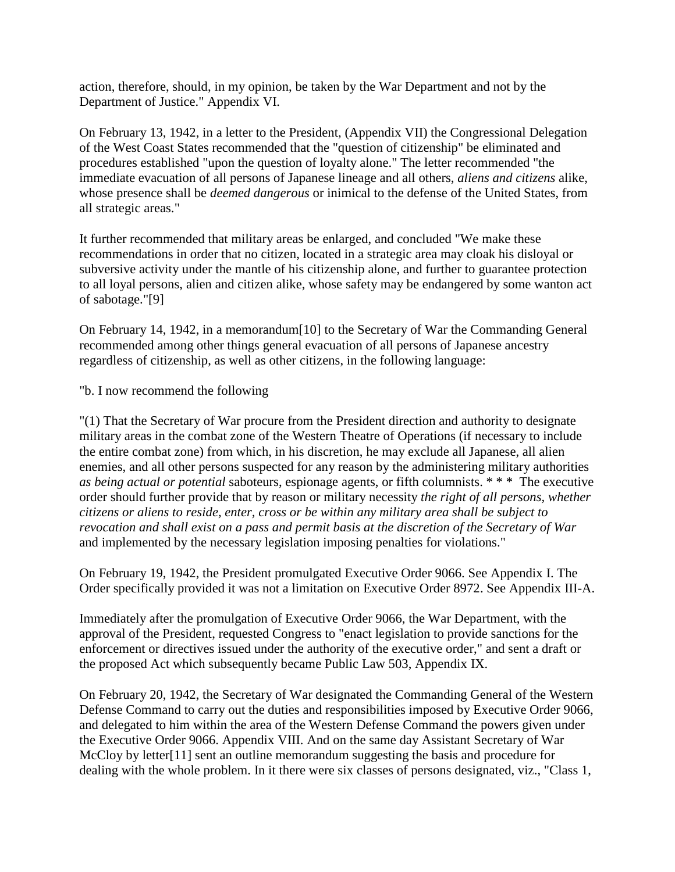action, therefore, should, in my opinion, be taken by the War Department and not by the Department of Justice." Appendix VI.

On February 13, 1942, in a letter to the President, (Appendix VII) the Congressional Delegation of the West Coast States recommended that the "question of citizenship" be eliminated and procedures established "upon the question of loyalty alone." The letter recommended "the immediate evacuation of all persons of Japanese lineage and all others, *aliens and citizens* alike, whose presence shall be *deemed dangerous* or inimical to the defense of the United States, from all strategic areas."

It further recommended that military areas be enlarged, and concluded "We make these recommendations in order that no citizen, located in a strategic area may cloak his disloyal or subversive activity under the mantle of his citizenship alone, and further to guarantee protection to all loyal persons, alien and citizen alike, whose safety may be endangered by some wanton act of sabotage."[9]

On February 14, 1942, in a memorandum[10] to the Secretary of War the Commanding General recommended among other things general evacuation of all persons of Japanese ancestry regardless of citizenship, as well as other citizens, in the following language:

"b. I now recommend the following

"(1) That the Secretary of War procure from the President direction and authority to designate military areas in the combat zone of the Western Theatre of Operations (if necessary to include the entire combat zone) from which, in his discretion, he may exclude all Japanese, all alien enemies, and all other persons suspected for any reason by the administering military authorities *as being actual or potential* saboteurs, espionage agents, or fifth columnists. \* \* \* The executive order should further provide that by reason or military necessity *the right of all persons, whether citizens or aliens to reside, enter, cross or be within any military area shall be subject to revocation and shall exist on a pass and permit basis at the discretion of the Secretary of War* and implemented by the necessary legislation imposing penalties for violations."

On February 19, 1942, the President promulgated Executive Order 9066. See Appendix I. The Order specifically provided it was not a limitation on Executive Order 8972. See Appendix III-A.

Immediately after the promulgation of Executive Order 9066, the War Department, with the approval of the President, requested Congress to "enact legislation to provide sanctions for the enforcement or directives issued under the authority of the executive order," and sent a draft or the proposed Act which subsequently became Public Law 503, Appendix IX.

On February 20, 1942, the Secretary of War designated the Commanding General of the Western Defense Command to carry out the duties and responsibilities imposed by Executive Order 9066, and delegated to him within the area of the Western Defense Command the powers given under the Executive Order 9066. Appendix VIII. And on the same day Assistant Secretary of War McCloy by letter[11] sent an outline memorandum suggesting the basis and procedure for dealing with the whole problem. In it there were six classes of persons designated, viz., "Class 1,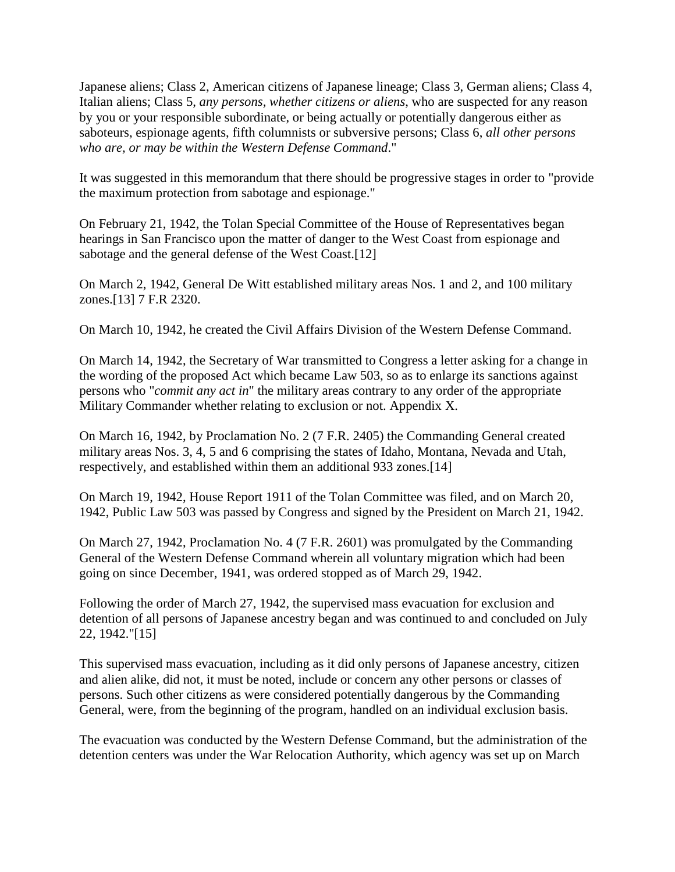Japanese aliens; Class 2, American citizens of Japanese lineage; Class 3, German aliens; Class 4, Italian aliens; Class 5, *any persons, whether citizens or aliens*, who are suspected for any reason by you or your responsible subordinate, or being actually or potentially dangerous either as saboteurs, espionage agents, fifth columnists or subversive persons; Class 6, *all other persons who are, or may be within the Western Defense Command*."

It was suggested in this memorandum that there should be progressive stages in order to "provide the maximum protection from sabotage and espionage."

On February 21, 1942, the Tolan Special Committee of the House of Representatives began hearings in San Francisco upon the matter of danger to the West Coast from espionage and sabotage and the general defense of the West Coast.[12]

On March 2, 1942, General De Witt established military areas Nos. 1 and 2, and 100 military zones.[13] 7 F.R 2320.

On March 10, 1942, he created the Civil Affairs Division of the Western Defense Command.

On March 14, 1942, the Secretary of War transmitted to Congress a letter asking for a change in the wording of the proposed Act which became Law 503, so as to enlarge its sanctions against persons who "*commit any act in*" the military areas contrary to any order of the appropriate Military Commander whether relating to exclusion or not. Appendix X.

On March 16, 1942, by Proclamation No. 2 (7 F.R. 2405) the Commanding General created military areas Nos. 3, 4, 5 and 6 comprising the states of Idaho, Montana, Nevada and Utah, respectively, and established within them an additional 933 zones.[14]

On March 19, 1942, House Report 1911 of the Tolan Committee was filed, and on March 20, 1942, Public Law 503 was passed by Congress and signed by the President on March 21, 1942.

On March 27, 1942, Proclamation No. 4 (7 F.R. 2601) was promulgated by the Commanding General of the Western Defense Command wherein all voluntary migration which had been going on since December, 1941, was ordered stopped as of March 29, 1942.

Following the order of March 27, 1942, the supervised mass evacuation for exclusion and detention of all persons of Japanese ancestry began and was continued to and concluded on July 22, 1942."[15]

This supervised mass evacuation, including as it did only persons of Japanese ancestry, citizen and alien alike, did not, it must be noted, include or concern any other persons or classes of persons. Such other citizens as were considered potentially dangerous by the Commanding General, were, from the beginning of the program, handled on an individual exclusion basis.

The evacuation was conducted by the Western Defense Command, but the administration of the detention centers was under the War Relocation Authority, which agency was set up on March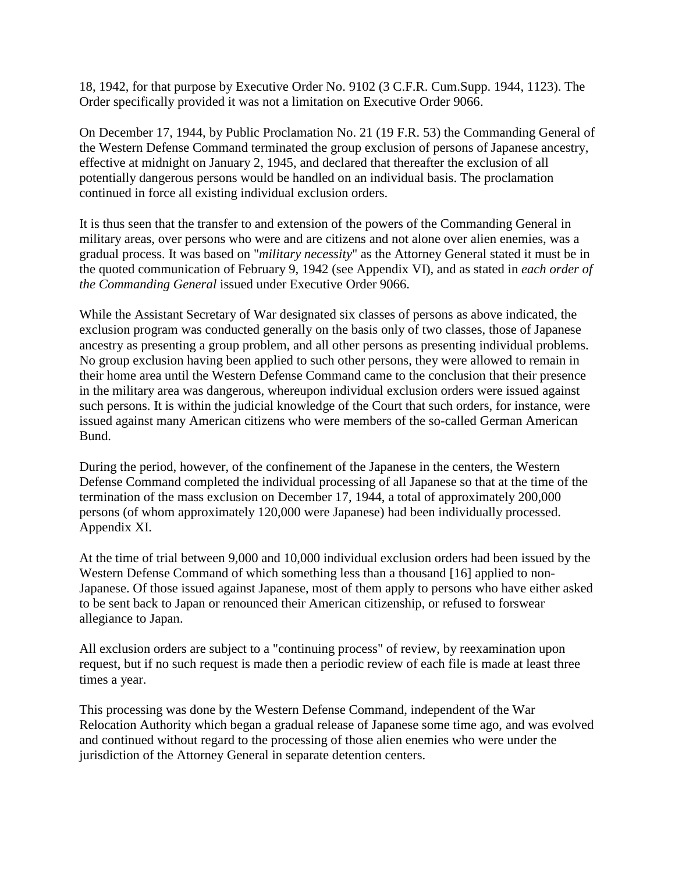18, 1942, for that purpose by Executive Order No. 9102 (3 C.F.R. Cum.Supp. 1944, 1123). The Order specifically provided it was not a limitation on Executive Order 9066.

On December 17, 1944, by Public Proclamation No. 21 (19 F.R. 53) the Commanding General of the Western Defense Command terminated the group exclusion of persons of Japanese ancestry, effective at midnight on January 2, 1945, and declared that thereafter the exclusion of all potentially dangerous persons would be handled on an individual basis. The proclamation continued in force all existing individual exclusion orders.

It is thus seen that the transfer to and extension of the powers of the Commanding General in military areas, over persons who were and are citizens and not alone over alien enemies, was a gradual process. It was based on "*military necessity*" as the Attorney General stated it must be in the quoted communication of February 9, 1942 (see Appendix VI), and as stated in *each order of the Commanding General* issued under Executive Order 9066.

While the Assistant Secretary of War designated six classes of persons as above indicated, the exclusion program was conducted generally on the basis only of two classes, those of Japanese ancestry as presenting a group problem, and all other persons as presenting individual problems. No group exclusion having been applied to such other persons, they were allowed to remain in their home area until the Western Defense Command came to the conclusion that their presence in the military area was dangerous, whereupon individual exclusion orders were issued against such persons. It is within the judicial knowledge of the Court that such orders, for instance, were issued against many American citizens who were members of the so-called German American Bund.

During the period, however, of the confinement of the Japanese in the centers, the Western Defense Command completed the individual processing of all Japanese so that at the time of the termination of the mass exclusion on December 17, 1944, a total of approximately 200,000 persons (of whom approximately 120,000 were Japanese) had been individually processed. Appendix XI.

At the time of trial between 9,000 and 10,000 individual exclusion orders had been issued by the Western Defense Command of which something less than a thousand [16] applied to non-Japanese. Of those issued against Japanese, most of them apply to persons who have either asked to be sent back to Japan or renounced their American citizenship, or refused to forswear allegiance to Japan.

All exclusion orders are subject to a "continuing process" of review, by reexamination upon request, but if no such request is made then a periodic review of each file is made at least three times a year.

This processing was done by the Western Defense Command, independent of the War Relocation Authority which began a gradual release of Japanese some time ago, and was evolved and continued without regard to the processing of those alien enemies who were under the jurisdiction of the Attorney General in separate detention centers.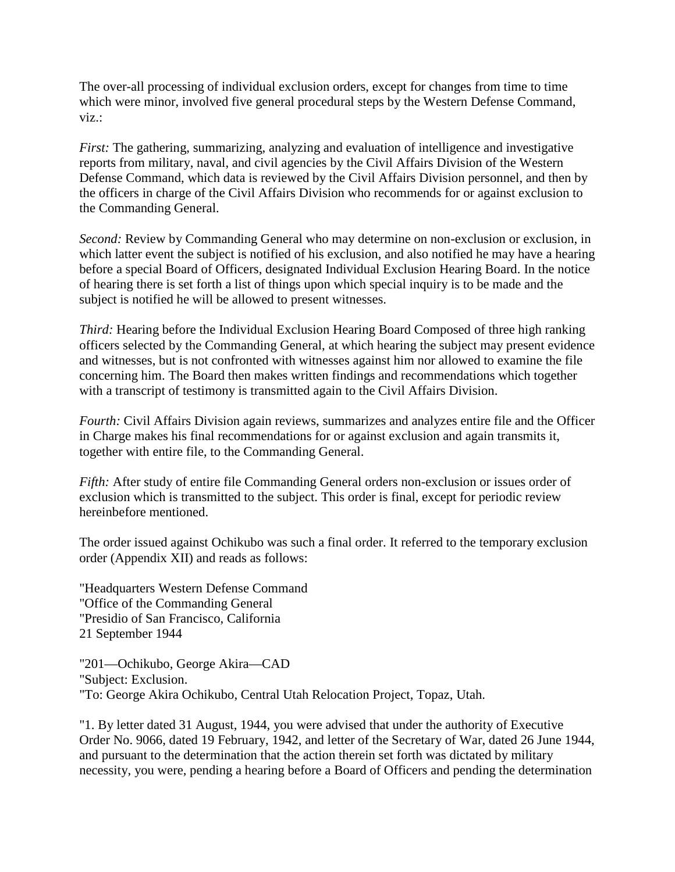The over-all processing of individual exclusion orders, except for changes from time to time which were minor, involved five general procedural steps by the Western Defense Command, viz.:

*First:* The gathering, summarizing, analyzing and evaluation of intelligence and investigative reports from military, naval, and civil agencies by the Civil Affairs Division of the Western Defense Command, which data is reviewed by the Civil Affairs Division personnel, and then by the officers in charge of the Civil Affairs Division who recommends for or against exclusion to the Commanding General.

*Second:* Review by Commanding General who may determine on non-exclusion or exclusion, in which latter event the subject is notified of his exclusion, and also notified he may have a hearing before a special Board of Officers, designated Individual Exclusion Hearing Board. In the notice of hearing there is set forth a list of things upon which special inquiry is to be made and the subject is notified he will be allowed to present witnesses.

*Third:* Hearing before the Individual Exclusion Hearing Board Composed of three high ranking officers selected by the Commanding General, at which hearing the subject may present evidence and witnesses, but is not confronted with witnesses against him nor allowed to examine the file concerning him. The Board then makes written findings and recommendations which together with a transcript of testimony is transmitted again to the Civil Affairs Division.

*Fourth:* Civil Affairs Division again reviews, summarizes and analyzes entire file and the Officer in Charge makes his final recommendations for or against exclusion and again transmits it, together with entire file, to the Commanding General.

*Fifth:* After study of entire file Commanding General orders non-exclusion or issues order of exclusion which is transmitted to the subject. This order is final, except for periodic review hereinbefore mentioned.

The order issued against Ochikubo was such a final order. It referred to the temporary exclusion order (Appendix XII) and reads as follows:

"Headquarters Western Defense Command "Office of the Commanding General "Presidio of San Francisco, California 21 September 1944

"201—Ochikubo, George Akira—CAD "Subject: Exclusion. "To: George Akira Ochikubo, Central Utah Relocation Project, Topaz, Utah.

"1. By letter dated 31 August, 1944, you were advised that under the authority of Executive Order No. 9066, dated 19 February, 1942, and letter of the Secretary of War, dated 26 June 1944, and pursuant to the determination that the action therein set forth was dictated by military necessity, you were, pending a hearing before a Board of Officers and pending the determination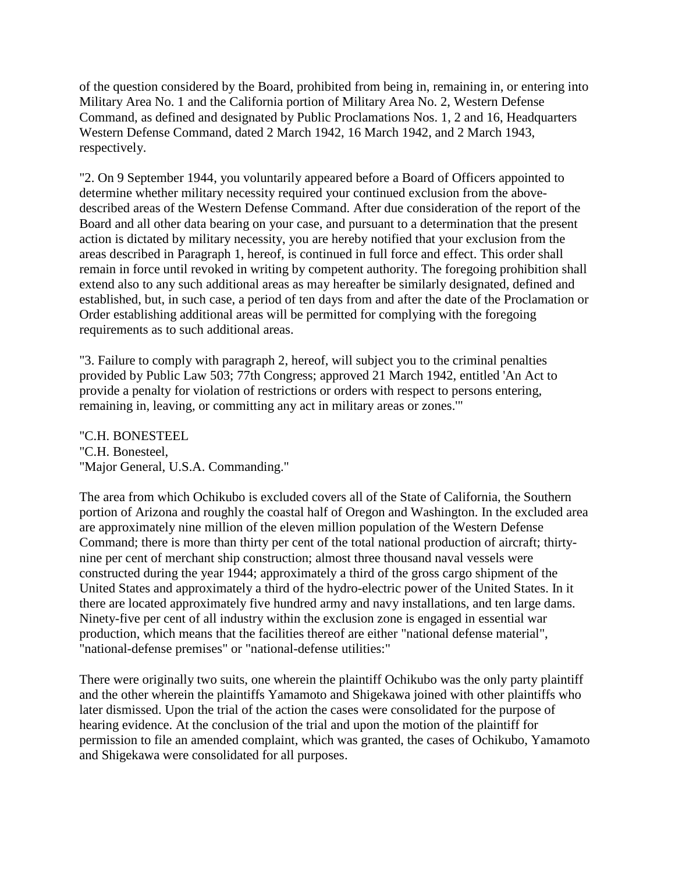of the question considered by the Board, prohibited from being in, remaining in, or entering into Military Area No. 1 and the California portion of Military Area No. 2, Western Defense Command, as defined and designated by Public Proclamations Nos. 1, 2 and 16, Headquarters Western Defense Command, dated 2 March 1942, 16 March 1942, and 2 March 1943, respectively.

"2. On 9 September 1944, you voluntarily appeared before a Board of Officers appointed to determine whether military necessity required your continued exclusion from the abovedescribed areas of the Western Defense Command. After due consideration of the report of the Board and all other data bearing on your case, and pursuant to a determination that the present action is dictated by military necessity, you are hereby notified that your exclusion from the areas described in Paragraph 1, hereof, is continued in full force and effect. This order shall remain in force until revoked in writing by competent authority. The foregoing prohibition shall extend also to any such additional areas as may hereafter be similarly designated, defined and established, but, in such case, a period of ten days from and after the date of the Proclamation or Order establishing additional areas will be permitted for complying with the foregoing requirements as to such additional areas.

"3. Failure to comply with paragraph 2, hereof, will subject you to the criminal penalties provided by Public Law 503; 77th Congress; approved 21 March 1942, entitled 'An Act to provide a penalty for violation of restrictions or orders with respect to persons entering, remaining in, leaving, or committing any act in military areas or zones.'"

"C.H. BONESTEEL "C.H. Bonesteel, "Major General, U.S.A. Commanding."

The area from which Ochikubo is excluded covers all of the State of California, the Southern portion of Arizona and roughly the coastal half of Oregon and Washington. In the excluded area are approximately nine million of the eleven million population of the Western Defense Command; there is more than thirty per cent of the total national production of aircraft; thirtynine per cent of merchant ship construction; almost three thousand naval vessels were constructed during the year 1944; approximately a third of the gross cargo shipment of the United States and approximately a third of the hydro-electric power of the United States. In it there are located approximately five hundred army and navy installations, and ten large dams. Ninety-five per cent of all industry within the exclusion zone is engaged in essential war production, which means that the facilities thereof are either "national defense material", "national-defense premises" or "national-defense utilities:"

There were originally two suits, one wherein the plaintiff Ochikubo was the only party plaintiff and the other wherein the plaintiffs Yamamoto and Shigekawa joined with other plaintiffs who later dismissed. Upon the trial of the action the cases were consolidated for the purpose of hearing evidence. At the conclusion of the trial and upon the motion of the plaintiff for permission to file an amended complaint, which was granted, the cases of Ochikubo, Yamamoto and Shigekawa were consolidated for all purposes.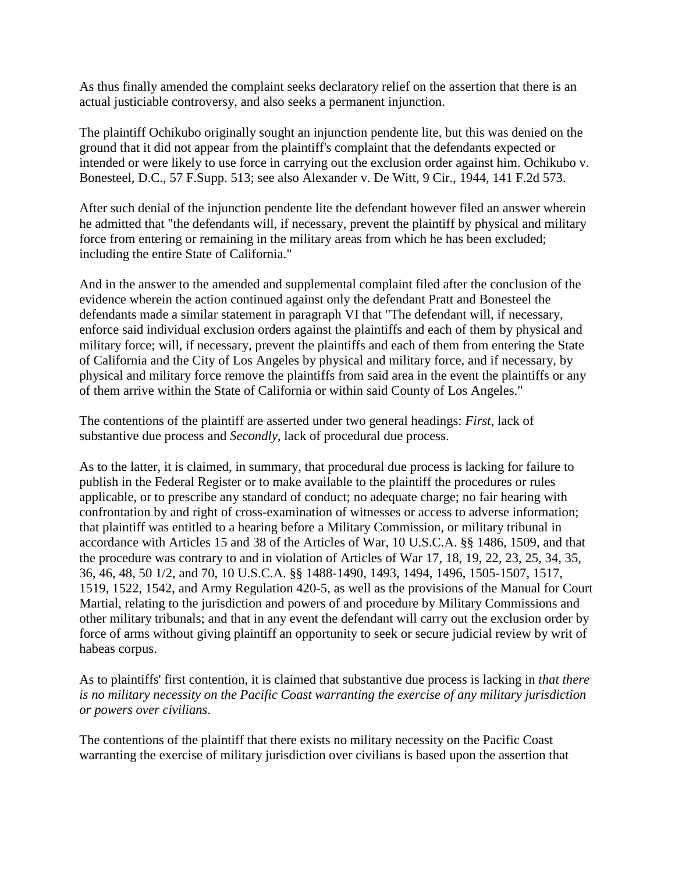As thus finally amended the complaint seeks declaratory relief on the assertion that there is an actual justiciable controversy, and also seeks a permanent injunction.

The plaintiff Ochikubo originally sought an injunction pendente lite, but this was denied on the ground that it did not appear from the plaintiff's complaint that the defendants expected or intended or were likely to use force in carrying out the exclusion order against him. Ochikubo v. Bonesteel, D.C., 57 F.Supp. 513; see also Alexander v. De Witt, 9 Cir., 1944, 141 F.2d 573.

After such denial of the injunction pendente lite the defendant however filed an answer wherein he admitted that "the defendants will, if necessary, prevent the plaintiff by physical and military force from entering or remaining in the military areas from which he has been excluded; including the entire State of California."

And in the answer to the amended and supplemental complaint filed after the conclusion of the evidence wherein the action continued against only the defendant Pratt and Bonesteel the defendants made a similar statement in paragraph VI that "The defendant will, if necessary, enforce said individual exclusion orders against the plaintiffs and each of them by physical and military force; will, if necessary, prevent the plaintiffs and each of them from entering the State of California and the City of Los Angeles by physical and military force, and if necessary, by physical and military force remove the plaintiffs from said area in the event the plaintiffs or any of them arrive within the State of California or within said County of Los Angeles."

The contentions of the plaintiff are asserted under two general headings: *First*, lack of substantive due process and *Secondly*, lack of procedural due process.

As to the latter, it is claimed, in summary, that procedural due process is lacking for failure to publish in the Federal Register or to make available to the plaintiff the procedures or rules applicable, or to prescribe any standard of conduct; no adequate charge; no fair hearing with confrontation by and right of cross-examination of witnesses or access to adverse information; that plaintiff was entitled to a hearing before a Military Commission, or military tribunal in accordance with Articles 15 and 38 of the Articles of War, 10 U.S.C.A. §§ 1486, 1509, and that the procedure was contrary to and in violation of Articles of War 17, 18, 19, 22, 23, 25, 34, 35, 36, 46, 48, 50 1/2, and 70, 10 U.S.C.A. §§ 1488-1490, 1493, 1494, 1496, 1505-1507, 1517, 1519, 1522, 1542, and Army Regulation 420-5, as well as the provisions of the Manual for Court Martial, relating to the jurisdiction and powers of and procedure by Military Commissions and other military tribunals; and that in any event the defendant will carry out the exclusion order by force of arms without giving plaintiff an opportunity to seek or secure judicial review by writ of habeas corpus.

As to plaintiffs' first contention, it is claimed that substantive due process is lacking in *that there is no military necessity on the Pacific Coast warranting the exercise of any military jurisdiction or powers over civilians*.

The contentions of the plaintiff that there exists no military necessity on the Pacific Coast warranting the exercise of military jurisdiction over civilians is based upon the assertion that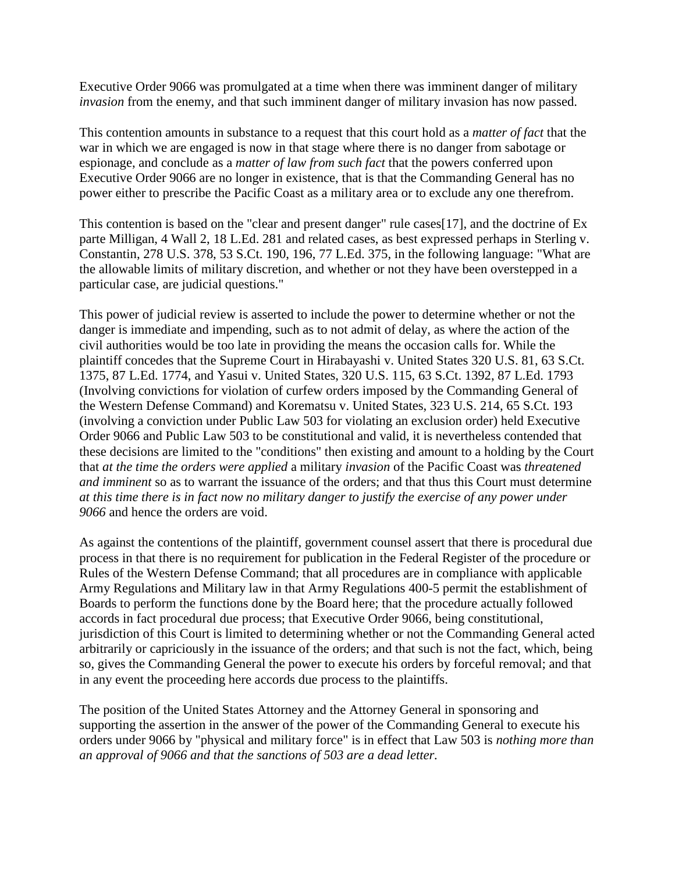Executive Order 9066 was promulgated at a time when there was imminent danger of military *invasion* from the enemy, and that such imminent danger of military invasion has now passed.

This contention amounts in substance to a request that this court hold as a *matter of fact* that the war in which we are engaged is now in that stage where there is no danger from sabotage or espionage, and conclude as a *matter of law from such fact* that the powers conferred upon Executive Order 9066 are no longer in existence, that is that the Commanding General has no power either to prescribe the Pacific Coast as a military area or to exclude any one therefrom.

This contention is based on the "clear and present danger" rule cases[17], and the doctrine of Ex parte Milligan, 4 Wall 2, 18 L.Ed. 281 and related cases, as best expressed perhaps in Sterling v. Constantin, 278 U.S. 378, 53 S.Ct. 190, 196, 77 L.Ed. 375, in the following language: "What are the allowable limits of military discretion, and whether or not they have been overstepped in a particular case, are judicial questions."

This power of judicial review is asserted to include the power to determine whether or not the danger is immediate and impending, such as to not admit of delay, as where the action of the civil authorities would be too late in providing the means the occasion calls for. While the plaintiff concedes that the Supreme Court in Hirabayashi v. United States 320 U.S. 81, 63 S.Ct. 1375, 87 L.Ed. 1774, and Yasui v. United States, 320 U.S. 115, 63 S.Ct. 1392, 87 L.Ed. 1793 (Involving convictions for violation of curfew orders imposed by the Commanding General of the Western Defense Command) and Korematsu v. United States, 323 U.S. 214, 65 S.Ct. 193 (involving a conviction under Public Law 503 for violating an exclusion order) held Executive Order 9066 and Public Law 503 to be constitutional and valid, it is nevertheless contended that these decisions are limited to the "conditions" then existing and amount to a holding by the Court that *at the time the orders were applied* a military *invasion* of the Pacific Coast was *threatened and imminent* so as to warrant the issuance of the orders; and that thus this Court must determine *at this time there is in fact now no military danger to justify the exercise of any power under 9066* and hence the orders are void.

As against the contentions of the plaintiff, government counsel assert that there is procedural due process in that there is no requirement for publication in the Federal Register of the procedure or Rules of the Western Defense Command; that all procedures are in compliance with applicable Army Regulations and Military law in that Army Regulations 400-5 permit the establishment of Boards to perform the functions done by the Board here; that the procedure actually followed accords in fact procedural due process; that Executive Order 9066, being constitutional, jurisdiction of this Court is limited to determining whether or not the Commanding General acted arbitrarily or capriciously in the issuance of the orders; and that such is not the fact, which, being so, gives the Commanding General the power to execute his orders by forceful removal; and that in any event the proceeding here accords due process to the plaintiffs.

The position of the United States Attorney and the Attorney General in sponsoring and supporting the assertion in the answer of the power of the Commanding General to execute his orders under 9066 by "physical and military force" is in effect that Law 503 is *nothing more than an approval of 9066 and that the sanctions of 503 are a dead letter.*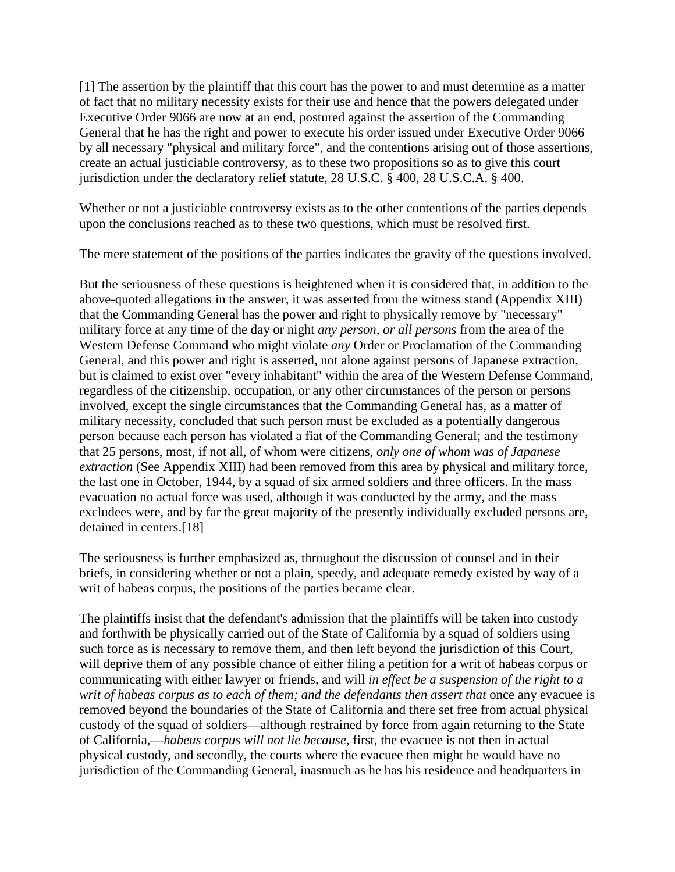[1] The assertion by the plaintiff that this court has the power to and must determine as a matter of fact that no military necessity exists for their use and hence that the powers delegated under Executive Order 9066 are now at an end, postured against the assertion of the Commanding General that he has the right and power to execute his order issued under Executive Order 9066 by all necessary "physical and military force", and the contentions arising out of those assertions, create an actual justiciable controversy, as to these two propositions so as to give this court jurisdiction under the declaratory relief statute, 28 U.S.C. § 400, 28 U.S.C.A. § 400.

Whether or not a justiciable controversy exists as to the other contentions of the parties depends upon the conclusions reached as to these two questions, which must be resolved first.

The mere statement of the positions of the parties indicates the gravity of the questions involved.

But the seriousness of these questions is heightened when it is considered that, in addition to the above-quoted allegations in the answer, it was asserted from the witness stand (Appendix XIII) that the Commanding General has the power and right to physically remove by "necessary" military force at any time of the day or night *any person, or all persons* from the area of the Western Defense Command who might violate *any* Order or Proclamation of the Commanding General, and this power and right is asserted, not alone against persons of Japanese extraction, but is claimed to exist over "every inhabitant" within the area of the Western Defense Command, regardless of the citizenship, occupation, or any other circumstances of the person or persons involved, except the single circumstances that the Commanding General has, as a matter of military necessity, concluded that such person must be excluded as a potentially dangerous person because each person has violated a fiat of the Commanding General; and the testimony that 25 persons, most, if not all, of whom were citizens, *only one of whom was of Japanese extraction* (See Appendix XIII) had been removed from this area by physical and military force, the last one in October, 1944, by a squad of six armed soldiers and three officers. In the mass evacuation no actual force was used, although it was conducted by the army, and the mass excludees were, and by far the great majority of the presently individually excluded persons are, detained in centers.[18]

The seriousness is further emphasized as, throughout the discussion of counsel and in their briefs, in considering whether or not a plain, speedy, and adequate remedy existed by way of a writ of habeas corpus, the positions of the parties became clear.

The plaintiffs insist that the defendant's admission that the plaintiffs will be taken into custody and forthwith be physically carried out of the State of California by a squad of soldiers using such force as is necessary to remove them, and then left beyond the jurisdiction of this Court, will deprive them of any possible chance of either filing a petition for a writ of habeas corpus or communicating with either lawyer or friends, and will *in effect be a suspension of the right to a writ of habeas corpus as to each of them; and the defendants then assert that* once any evacuee is removed beyond the boundaries of the State of California and there set free from actual physical custody of the squad of soldiers—although restrained by force from again returning to the State of California,—*habeus corpus will not lie because*, first, the evacuee is not then in actual physical custody, and secondly, the courts where the evacuee then might be would have no jurisdiction of the Commanding General, inasmuch as he has his residence and headquarters in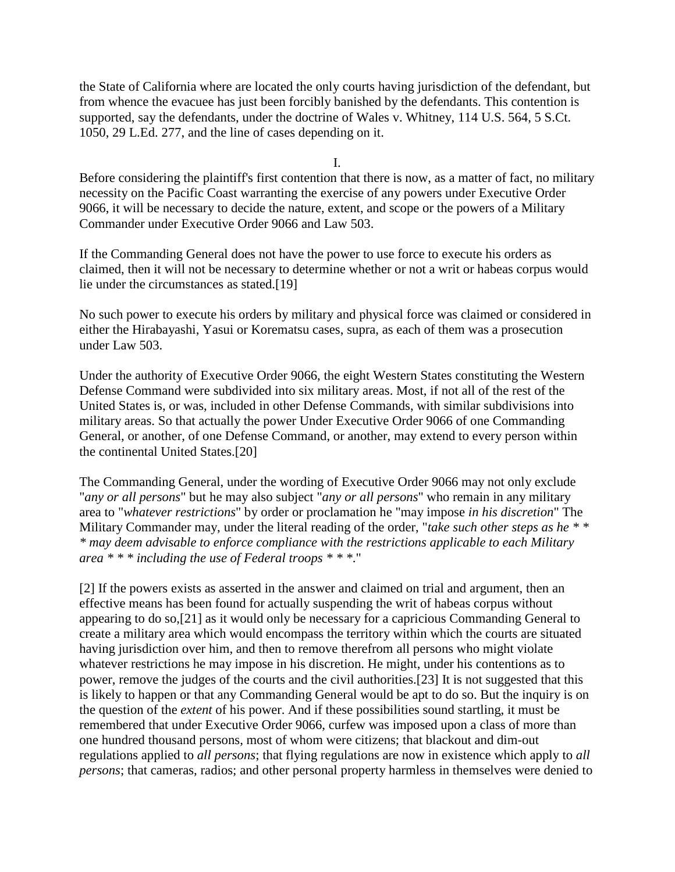the State of California where are located the only courts having jurisdiction of the defendant, but from whence the evacuee has just been forcibly banished by the defendants. This contention is supported, say the defendants, under the doctrine of Wales v. Whitney, 114 U.S. 564, 5 S.Ct. 1050, 29 L.Ed. 277, and the line of cases depending on it.

I.

Before considering the plaintiff's first contention that there is now, as a matter of fact, no military necessity on the Pacific Coast warranting the exercise of any powers under Executive Order 9066, it will be necessary to decide the nature, extent, and scope or the powers of a Military Commander under Executive Order 9066 and Law 503.

If the Commanding General does not have the power to use force to execute his orders as claimed, then it will not be necessary to determine whether or not a writ or habeas corpus would lie under the circumstances as stated.[19]

No such power to execute his orders by military and physical force was claimed or considered in either the Hirabayashi, Yasui or Korematsu cases, supra, as each of them was a prosecution under Law 503.

Under the authority of Executive Order 9066, the eight Western States constituting the Western Defense Command were subdivided into six military areas. Most, if not all of the rest of the United States is, or was, included in other Defense Commands, with similar subdivisions into military areas. So that actually the power Under Executive Order 9066 of one Commanding General, or another, of one Defense Command, or another, may extend to every person within the continental United States.[20]

The Commanding General, under the wording of Executive Order 9066 may not only exclude "*any or all persons*" but he may also subject "*any or all persons*" who remain in any military area to "*whatever restrictions*" by order or proclamation he "may impose *in his discretion*" The Military Commander may, under the literal reading of the order, "*take such other steps as he \* \* \* may deem advisable to enforce compliance with the restrictions applicable to each Military area \* \* \* including the use of Federal troops \* \* \**."

[2] If the powers exists as asserted in the answer and claimed on trial and argument, then an effective means has been found for actually suspending the writ of habeas corpus without appearing to do so,[21] as it would only be necessary for a capricious Commanding General to create a military area which would encompass the territory within which the courts are situated having jurisdiction over him, and then to remove therefrom all persons who might violate whatever restrictions he may impose in his discretion. He might, under his contentions as to power, remove the judges of the courts and the civil authorities.[23] It is not suggested that this is likely to happen or that any Commanding General would be apt to do so. But the inquiry is on the question of the *extent* of his power. And if these possibilities sound startling, it must be remembered that under Executive Order 9066, curfew was imposed upon a class of more than one hundred thousand persons, most of whom were citizens; that blackout and dim-out regulations applied to *all persons*; that flying regulations are now in existence which apply to *all persons*; that cameras, radios; and other personal property harmless in themselves were denied to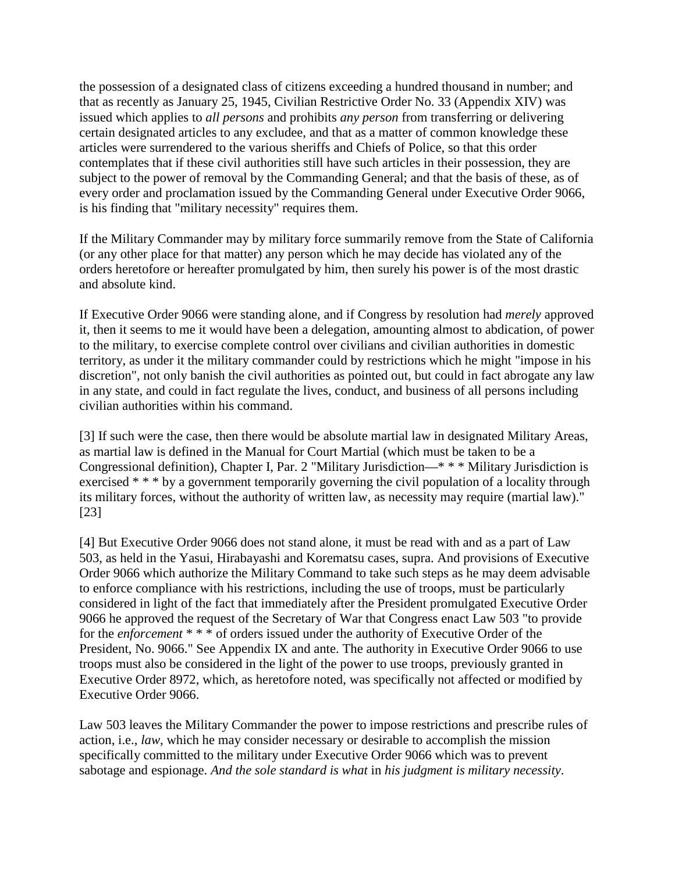the possession of a designated class of citizens exceeding a hundred thousand in number; and that as recently as January 25, 1945, Civilian Restrictive Order No. 33 (Appendix XIV) was issued which applies to *all persons* and prohibits *any person* from transferring or delivering certain designated articles to any excludee, and that as a matter of common knowledge these articles were surrendered to the various sheriffs and Chiefs of Police, so that this order contemplates that if these civil authorities still have such articles in their possession, they are subject to the power of removal by the Commanding General; and that the basis of these, as of every order and proclamation issued by the Commanding General under Executive Order 9066, is his finding that "military necessity" requires them.

If the Military Commander may by military force summarily remove from the State of California (or any other place for that matter) any person which he may decide has violated any of the orders heretofore or hereafter promulgated by him, then surely his power is of the most drastic and absolute kind.

If Executive Order 9066 were standing alone, and if Congress by resolution had *merely* approved it, then it seems to me it would have been a delegation, amounting almost to abdication, of power to the military, to exercise complete control over civilians and civilian authorities in domestic territory, as under it the military commander could by restrictions which he might "impose in his discretion", not only banish the civil authorities as pointed out, but could in fact abrogate any law in any state, and could in fact regulate the lives, conduct, and business of all persons including civilian authorities within his command.

[3] If such were the case, then there would be absolute martial law in designated Military Areas, as martial law is defined in the Manual for Court Martial (which must be taken to be a Congressional definition), Chapter I, Par. 2 "Military Jurisdiction—\* \* \* Military Jurisdiction is exercised \* \* \* by a government temporarily governing the civil population of a locality through its military forces, without the authority of written law, as necessity may require (martial law)." [23]

[4] But Executive Order 9066 does not stand alone, it must be read with and as a part of Law 503, as held in the Yasui, Hirabayashi and Korematsu cases, supra. And provisions of Executive Order 9066 which authorize the Military Command to take such steps as he may deem advisable to enforce compliance with his restrictions, including the use of troops, must be particularly considered in light of the fact that immediately after the President promulgated Executive Order 9066 he approved the request of the Secretary of War that Congress enact Law 503 "to provide for the *enforcement* \* \* \* of orders issued under the authority of Executive Order of the President, No. 9066." See Appendix IX and ante. The authority in Executive Order 9066 to use troops must also be considered in the light of the power to use troops, previously granted in Executive Order 8972, which, as heretofore noted, was specifically not affected or modified by Executive Order 9066.

Law 503 leaves the Military Commander the power to impose restrictions and prescribe rules of action, i.e., *law*, which he may consider necessary or desirable to accomplish the mission specifically committed to the military under Executive Order 9066 which was to prevent sabotage and espionage. *And the sole standard is what* in *his judgment is military necessity*.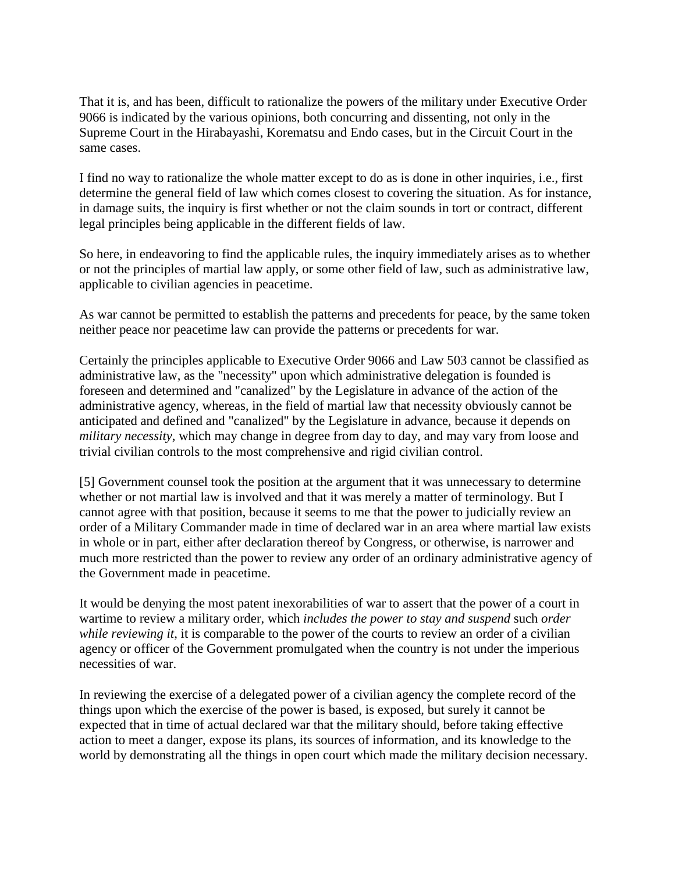That it is, and has been, difficult to rationalize the powers of the military under Executive Order 9066 is indicated by the various opinions, both concurring and dissenting, not only in the Supreme Court in the Hirabayashi, Korematsu and Endo cases, but in the Circuit Court in the same cases.

I find no way to rationalize the whole matter except to do as is done in other inquiries, i.e., first determine the general field of law which comes closest to covering the situation. As for instance, in damage suits, the inquiry is first whether or not the claim sounds in tort or contract, different legal principles being applicable in the different fields of law.

So here, in endeavoring to find the applicable rules, the inquiry immediately arises as to whether or not the principles of martial law apply, or some other field of law, such as administrative law, applicable to civilian agencies in peacetime.

As war cannot be permitted to establish the patterns and precedents for peace, by the same token neither peace nor peacetime law can provide the patterns or precedents for war.

Certainly the principles applicable to Executive Order 9066 and Law 503 cannot be classified as administrative law, as the "necessity" upon which administrative delegation is founded is foreseen and determined and "canalized" by the Legislature in advance of the action of the administrative agency, whereas, in the field of martial law that necessity obviously cannot be anticipated and defined and "canalized" by the Legislature in advance, because it depends on *military necessity*, which may change in degree from day to day, and may vary from loose and trivial civilian controls to the most comprehensive and rigid civilian control.

[5] Government counsel took the position at the argument that it was unnecessary to determine whether or not martial law is involved and that it was merely a matter of terminology. But I cannot agree with that position, because it seems to me that the power to judicially review an order of a Military Commander made in time of declared war in an area where martial law exists in whole or in part, either after declaration thereof by Congress, or otherwise, is narrower and much more restricted than the power to review any order of an ordinary administrative agency of the Government made in peacetime.

It would be denying the most patent inexorabilities of war to assert that the power of a court in wartime to review a military order, which *includes the power to stay and suspend* such *order while reviewing it*, it is comparable to the power of the courts to review an order of a civilian agency or officer of the Government promulgated when the country is not under the imperious necessities of war.

In reviewing the exercise of a delegated power of a civilian agency the complete record of the things upon which the exercise of the power is based, is exposed, but surely it cannot be expected that in time of actual declared war that the military should, before taking effective action to meet a danger, expose its plans, its sources of information, and its knowledge to the world by demonstrating all the things in open court which made the military decision necessary.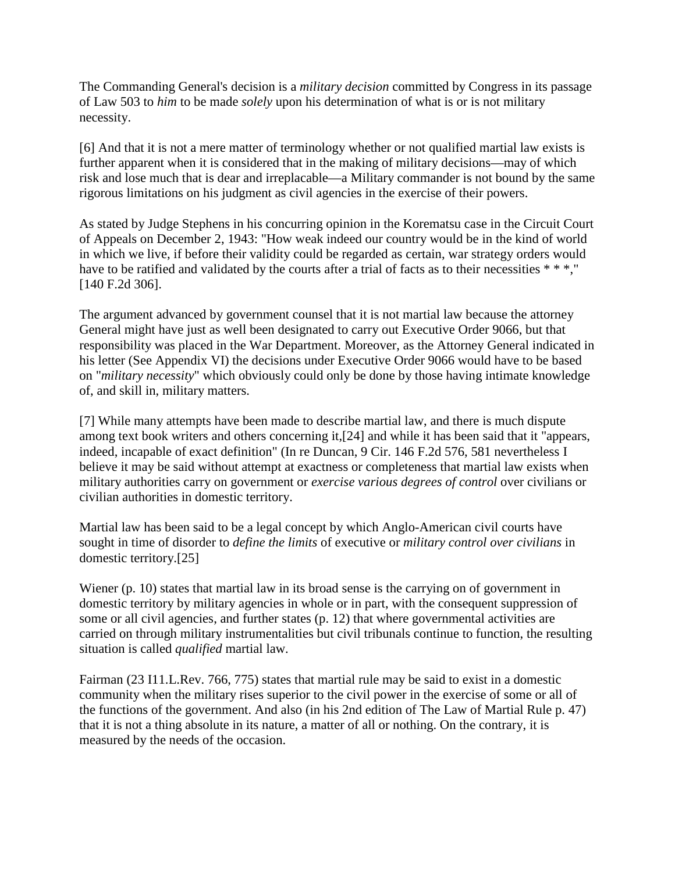The Commanding General's decision is a *military decision* committed by Congress in its passage of Law 503 to *him* to be made *solely* upon his determination of what is or is not military necessity.

[6] And that it is not a mere matter of terminology whether or not qualified martial law exists is further apparent when it is considered that in the making of military decisions—may of which risk and lose much that is dear and irreplacable—a Military commander is not bound by the same rigorous limitations on his judgment as civil agencies in the exercise of their powers.

As stated by Judge Stephens in his concurring opinion in the Korematsu case in the Circuit Court of Appeals on December 2, 1943: "How weak indeed our country would be in the kind of world in which we live, if before their validity could be regarded as certain, war strategy orders would have to be ratified and validated by the courts after a trial of facts as to their necessities \* \* \*," [140 F.2d 306].

The argument advanced by government counsel that it is not martial law because the attorney General might have just as well been designated to carry out Executive Order 9066, but that responsibility was placed in the War Department. Moreover, as the Attorney General indicated in his letter (See Appendix VI) the decisions under Executive Order 9066 would have to be based on "*military necessity*" which obviously could only be done by those having intimate knowledge of, and skill in, military matters.

[7] While many attempts have been made to describe martial law, and there is much dispute among text book writers and others concerning it,[24] and while it has been said that it "appears, indeed, incapable of exact definition" (In re Duncan, 9 Cir. 146 F.2d 576, 581 nevertheless I believe it may be said without attempt at exactness or completeness that martial law exists when military authorities carry on government or *exercise various degrees of control* over civilians or civilian authorities in domestic territory.

Martial law has been said to be a legal concept by which Anglo-American civil courts have sought in time of disorder to *define the limits* of executive or *military control over civilians* in domestic territory.[25]

Wiener (p. 10) states that martial law in its broad sense is the carrying on of government in domestic territory by military agencies in whole or in part, with the consequent suppression of some or all civil agencies, and further states (p. 12) that where governmental activities are carried on through military instrumentalities but civil tribunals continue to function, the resulting situation is called *qualified* martial law.

Fairman (23 I11.L.Rev. 766, 775) states that martial rule may be said to exist in a domestic community when the military rises superior to the civil power in the exercise of some or all of the functions of the government. And also (in his 2nd edition of The Law of Martial Rule p. 47) that it is not a thing absolute in its nature, a matter of all or nothing. On the contrary, it is measured by the needs of the occasion.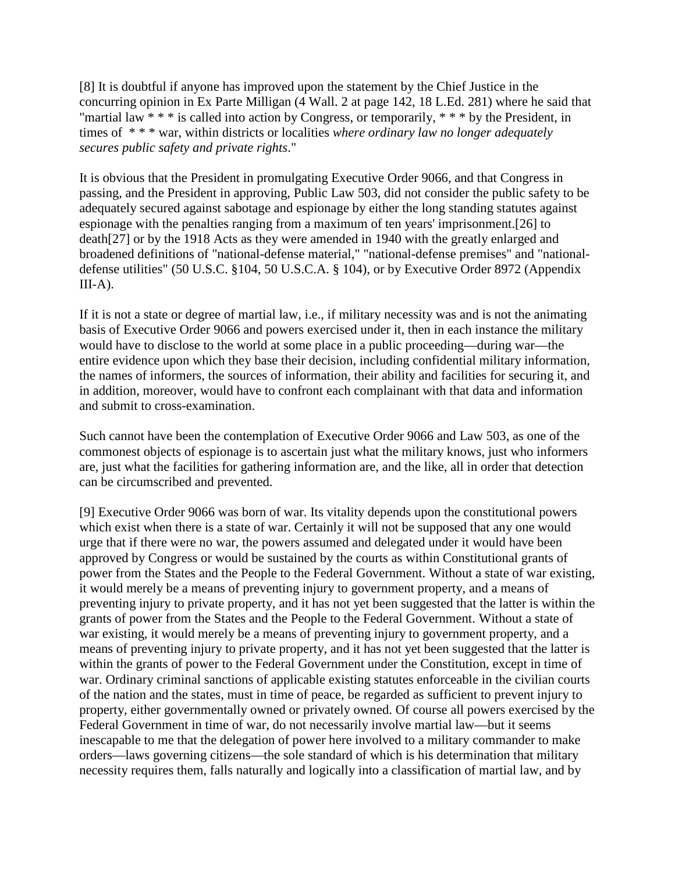[8] It is doubtful if anyone has improved upon the statement by the Chief Justice in the concurring opinion in Ex Parte Milligan (4 Wall. 2 at page 142, 18 L.Ed. 281) where he said that "martial law  $* * *$  is called into action by Congress, or temporarily,  $* * *$  by the President, in times of \* \* \* war, within districts or localities *where ordinary law no longer adequately secures public safety and private rights*."

It is obvious that the President in promulgating Executive Order 9066, and that Congress in passing, and the President in approving, Public Law 503, did not consider the public safety to be adequately secured against sabotage and espionage by either the long standing statutes against espionage with the penalties ranging from a maximum of ten years' imprisonment.[26] to death[27] or by the 1918 Acts as they were amended in 1940 with the greatly enlarged and broadened definitions of "national-defense material," "national-defense premises" and "nationaldefense utilities" (50 U.S.C. §104, 50 U.S.C.A. § 104), or by Executive Order 8972 (Appendix  $III-A$ ).

If it is not a state or degree of martial law, i.e., if military necessity was and is not the animating basis of Executive Order 9066 and powers exercised under it, then in each instance the military would have to disclose to the world at some place in a public proceeding—during war—the entire evidence upon which they base their decision, including confidential military information, the names of informers, the sources of information, their ability and facilities for securing it, and in addition, moreover, would have to confront each complainant with that data and information and submit to cross-examination.

Such cannot have been the contemplation of Executive Order 9066 and Law 503, as one of the commonest objects of espionage is to ascertain just what the military knows, just who informers are, just what the facilities for gathering information are, and the like, all in order that detection can be circumscribed and prevented.

[9] Executive Order 9066 was born of war. Its vitality depends upon the constitutional powers which exist when there is a state of war. Certainly it will not be supposed that any one would urge that if there were no war, the powers assumed and delegated under it would have been approved by Congress or would be sustained by the courts as within Constitutional grants of power from the States and the People to the Federal Government. Without a state of war existing, it would merely be a means of preventing injury to government property, and a means of preventing injury to private property, and it has not yet been suggested that the latter is within the grants of power from the States and the People to the Federal Government. Without a state of war existing, it would merely be a means of preventing injury to government property, and a means of preventing injury to private property, and it has not yet been suggested that the latter is within the grants of power to the Federal Government under the Constitution, except in time of war. Ordinary criminal sanctions of applicable existing statutes enforceable in the civilian courts of the nation and the states, must in time of peace, be regarded as sufficient to prevent injury to property, either governmentally owned or privately owned. Of course all powers exercised by the Federal Government in time of war, do not necessarily involve martial law—but it seems inescapable to me that the delegation of power here involved to a military commander to make orders—laws governing citizens—the sole standard of which is his determination that military necessity requires them, falls naturally and logically into a classification of martial law, and by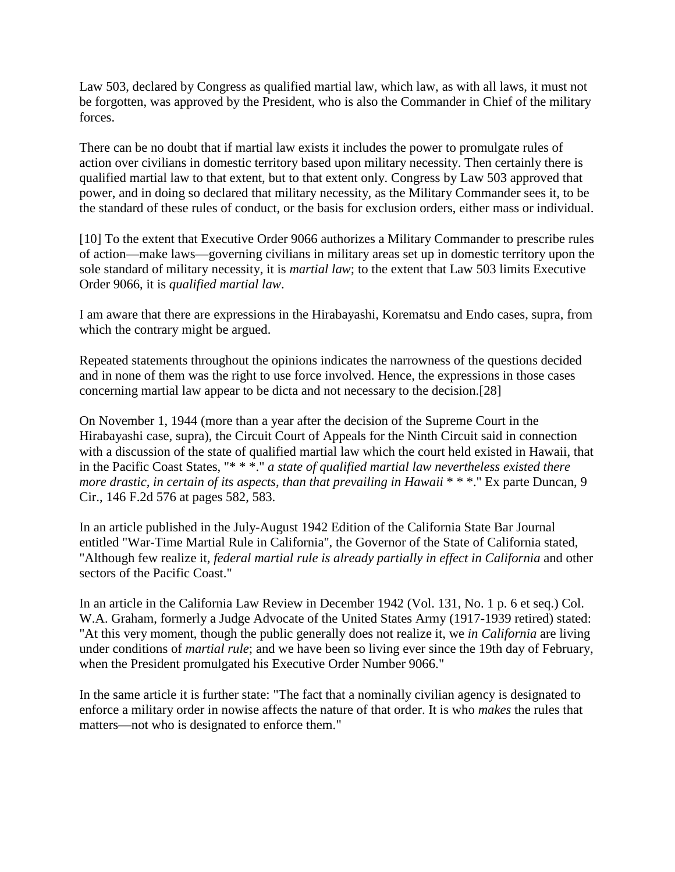Law 503, declared by Congress as qualified martial law, which law, as with all laws, it must not be forgotten, was approved by the President, who is also the Commander in Chief of the military forces.

There can be no doubt that if martial law exists it includes the power to promulgate rules of action over civilians in domestic territory based upon military necessity. Then certainly there is qualified martial law to that extent, but to that extent only. Congress by Law 503 approved that power, and in doing so declared that military necessity, as the Military Commander sees it, to be the standard of these rules of conduct, or the basis for exclusion orders, either mass or individual.

[10] To the extent that Executive Order 9066 authorizes a Military Commander to prescribe rules of action—make laws—governing civilians in military areas set up in domestic territory upon the sole standard of military necessity, it is *martial law*; to the extent that Law 503 limits Executive Order 9066, it is *qualified martial law*.

I am aware that there are expressions in the Hirabayashi, Korematsu and Endo cases, supra, from which the contrary might be argued.

Repeated statements throughout the opinions indicates the narrowness of the questions decided and in none of them was the right to use force involved. Hence, the expressions in those cases concerning martial law appear to be dicta and not necessary to the decision.[28]

On November 1, 1944 (more than a year after the decision of the Supreme Court in the Hirabayashi case, supra), the Circuit Court of Appeals for the Ninth Circuit said in connection with a discussion of the state of qualified martial law which the court held existed in Hawaii, that in the Pacific Coast States, "\* \* \*." *a state of qualified martial law nevertheless existed there more drastic, in certain of its aspects, than that prevailing in Hawaii* \* \* \*." Ex parte Duncan, 9 Cir., 146 F.2d 576 at pages 582, 583.

In an article published in the July-August 1942 Edition of the California State Bar Journal entitled "War-Time Martial Rule in California", the Governor of the State of California stated, "Although few realize it, *federal martial rule is already partially in effect in California* and other sectors of the Pacific Coast."

In an article in the California Law Review in December 1942 (Vol. 131, No. 1 p. 6 et seq.) Col. W.A. Graham, formerly a Judge Advocate of the United States Army (1917-1939 retired) stated: "At this very moment, though the public generally does not realize it, we *in California* are living under conditions of *martial rule*; and we have been so living ever since the 19th day of February, when the President promulgated his Executive Order Number 9066."

In the same article it is further state: "The fact that a nominally civilian agency is designated to enforce a military order in nowise affects the nature of that order. It is who *makes* the rules that matters—not who is designated to enforce them."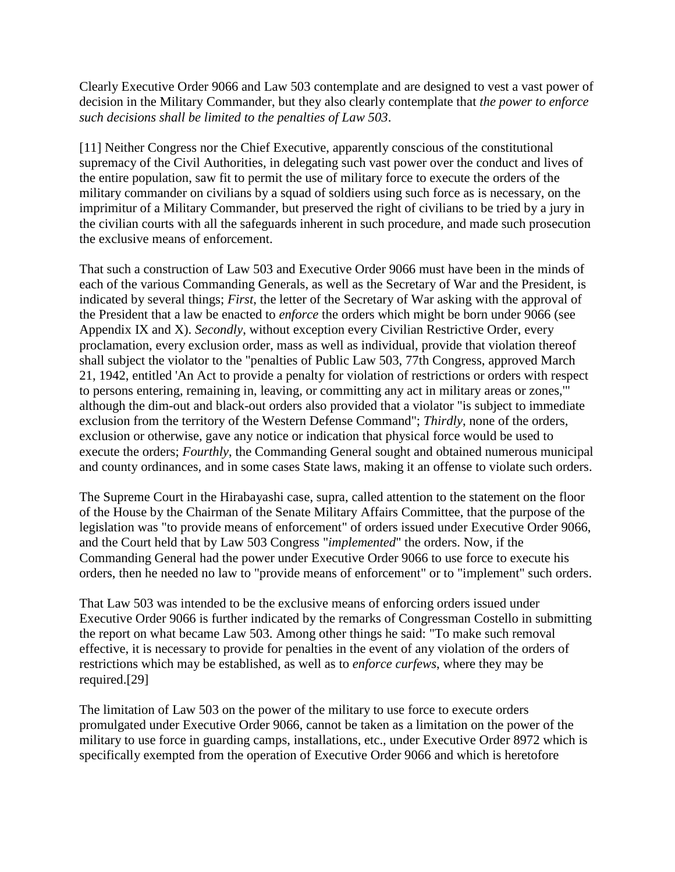Clearly Executive Order 9066 and Law 503 contemplate and are designed to vest a vast power of decision in the Military Commander, but they also clearly contemplate that *the power to enforce such decisions shall be limited to the penalties of Law 503*.

[11] Neither Congress nor the Chief Executive, apparently conscious of the constitutional supremacy of the Civil Authorities, in delegating such vast power over the conduct and lives of the entire population, saw fit to permit the use of military force to execute the orders of the military commander on civilians by a squad of soldiers using such force as is necessary, on the imprimitur of a Military Commander, but preserved the right of civilians to be tried by a jury in the civilian courts with all the safeguards inherent in such procedure, and made such prosecution the exclusive means of enforcement.

That such a construction of Law 503 and Executive Order 9066 must have been in the minds of each of the various Commanding Generals, as well as the Secretary of War and the President, is indicated by several things; *First*, the letter of the Secretary of War asking with the approval of the President that a law be enacted to *enforce* the orders which might be born under 9066 (see Appendix IX and X). *Secondly*, without exception every Civilian Restrictive Order, every proclamation, every exclusion order, mass as well as individual, provide that violation thereof shall subject the violator to the "penalties of Public Law 503, 77th Congress, approved March 21, 1942, entitled 'An Act to provide a penalty for violation of restrictions or orders with respect to persons entering, remaining in, leaving, or committing any act in military areas or zones,'" although the dim-out and black-out orders also provided that a violator "is subject to immediate exclusion from the territory of the Western Defense Command"; *Thirdly*, none of the orders, exclusion or otherwise, gave any notice or indication that physical force would be used to execute the orders; *Fourthly*, the Commanding General sought and obtained numerous municipal and county ordinances, and in some cases State laws, making it an offense to violate such orders.

The Supreme Court in the Hirabayashi case, supra, called attention to the statement on the floor of the House by the Chairman of the Senate Military Affairs Committee, that the purpose of the legislation was "to provide means of enforcement" of orders issued under Executive Order 9066, and the Court held that by Law 503 Congress "*implemented*" the orders. Now, if the Commanding General had the power under Executive Order 9066 to use force to execute his orders, then he needed no law to "provide means of enforcement" or to "implement" such orders.

That Law 503 was intended to be the exclusive means of enforcing orders issued under Executive Order 9066 is further indicated by the remarks of Congressman Costello in submitting the report on what became Law 503. Among other things he said: "To make such removal effective, it is necessary to provide for penalties in the event of any violation of the orders of restrictions which may be established, as well as to *enforce curfews*, where they may be required.[29]

The limitation of Law 503 on the power of the military to use force to execute orders promulgated under Executive Order 9066, cannot be taken as a limitation on the power of the military to use force in guarding camps, installations, etc., under Executive Order 8972 which is specifically exempted from the operation of Executive Order 9066 and which is heretofore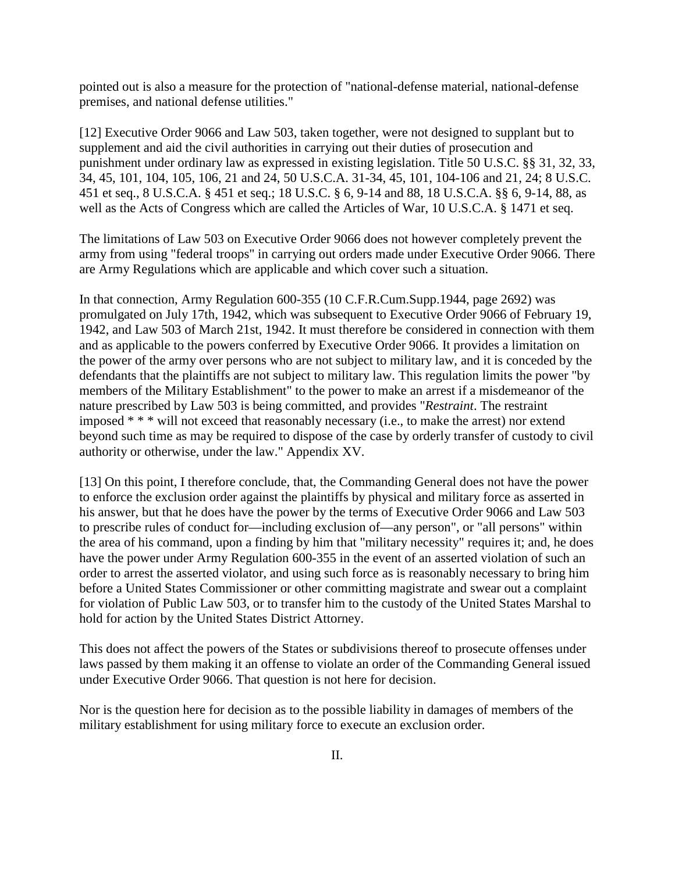pointed out is also a measure for the protection of "national-defense material, national-defense premises, and national defense utilities."

[12] Executive Order 9066 and Law 503, taken together, were not designed to supplant but to supplement and aid the civil authorities in carrying out their duties of prosecution and punishment under ordinary law as expressed in existing legislation. Title 50 U.S.C. §§ 31, 32, 33, 34, 45, 101, 104, 105, 106, 21 and 24, 50 U.S.C.A. 31-34, 45, 101, 104-106 and 21, 24; 8 U.S.C. 451 et seq., 8 U.S.C.A. § 451 et seq.; 18 U.S.C. § 6, 9-14 and 88, 18 U.S.C.A. §§ 6, 9-14, 88, as well as the Acts of Congress which are called the Articles of War, 10 U.S.C.A. § 1471 et seq.

The limitations of Law 503 on Executive Order 9066 does not however completely prevent the army from using "federal troops" in carrying out orders made under Executive Order 9066. There are Army Regulations which are applicable and which cover such a situation.

In that connection, Army Regulation 600-355 (10 C.F.R.Cum.Supp.1944, page 2692) was promulgated on July 17th, 1942, which was subsequent to Executive Order 9066 of February 19, 1942, and Law 503 of March 21st, 1942. It must therefore be considered in connection with them and as applicable to the powers conferred by Executive Order 9066. It provides a limitation on the power of the army over persons who are not subject to military law, and it is conceded by the defendants that the plaintiffs are not subject to military law. This regulation limits the power "by members of the Military Establishment" to the power to make an arrest if a misdemeanor of the nature prescribed by Law 503 is being committed, and provides "*Restraint*. The restraint imposed \* \* \* will not exceed that reasonably necessary (i.e., to make the arrest) nor extend beyond such time as may be required to dispose of the case by orderly transfer of custody to civil authority or otherwise, under the law." Appendix XV.

[13] On this point, I therefore conclude, that, the Commanding General does not have the power to enforce the exclusion order against the plaintiffs by physical and military force as asserted in his answer, but that he does have the power by the terms of Executive Order 9066 and Law 503 to prescribe rules of conduct for—including exclusion of—any person", or "all persons" within the area of his command, upon a finding by him that "military necessity" requires it; and, he does have the power under Army Regulation 600-355 in the event of an asserted violation of such an order to arrest the asserted violator, and using such force as is reasonably necessary to bring him before a United States Commissioner or other committing magistrate and swear out a complaint for violation of Public Law 503, or to transfer him to the custody of the United States Marshal to hold for action by the United States District Attorney.

This does not affect the powers of the States or subdivisions thereof to prosecute offenses under laws passed by them making it an offense to violate an order of the Commanding General issued under Executive Order 9066. That question is not here for decision.

Nor is the question here for decision as to the possible liability in damages of members of the military establishment for using military force to execute an exclusion order.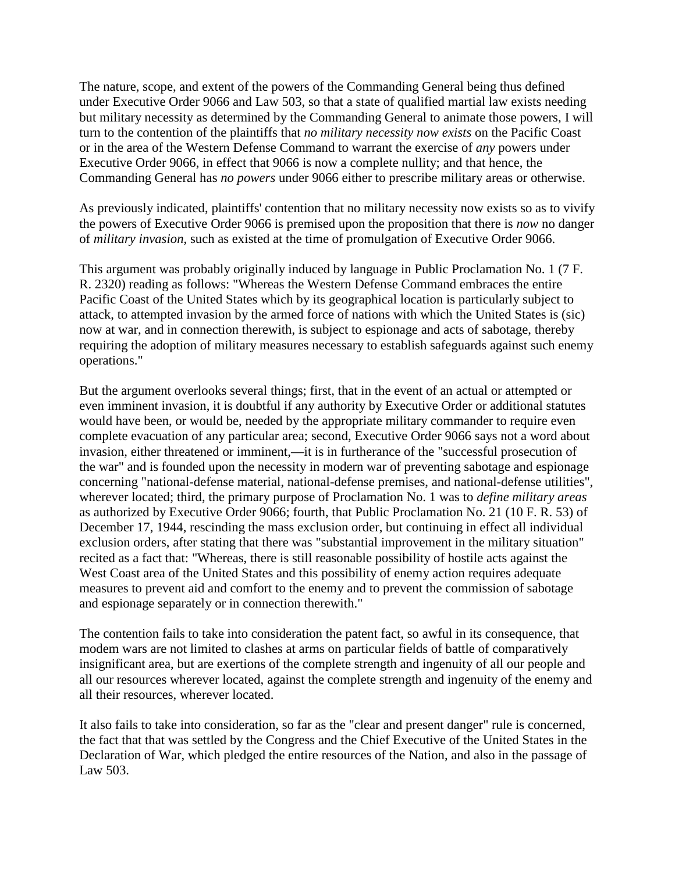The nature, scope, and extent of the powers of the Commanding General being thus defined under Executive Order 9066 and Law 503, so that a state of qualified martial law exists needing but military necessity as determined by the Commanding General to animate those powers, I will turn to the contention of the plaintiffs that *no military necessity now exists* on the Pacific Coast or in the area of the Western Defense Command to warrant the exercise of *any* powers under Executive Order 9066, in effect that 9066 is now a complete nullity; and that hence, the Commanding General has *no powers* under 9066 either to prescribe military areas or otherwise.

As previously indicated, plaintiffs' contention that no military necessity now exists so as to vivify the powers of Executive Order 9066 is premised upon the proposition that there is *now* no danger of *military invasion*, such as existed at the time of promulgation of Executive Order 9066.

This argument was probably originally induced by language in Public Proclamation No. 1 (7 F. R. 2320) reading as follows: "Whereas the Western Defense Command embraces the entire Pacific Coast of the United States which by its geographical location is particularly subject to attack, to attempted invasion by the armed force of nations with which the United States is (sic) now at war, and in connection therewith, is subject to espionage and acts of sabotage, thereby requiring the adoption of military measures necessary to establish safeguards against such enemy operations."

But the argument overlooks several things; first, that in the event of an actual or attempted or even imminent invasion, it is doubtful if any authority by Executive Order or additional statutes would have been, or would be, needed by the appropriate military commander to require even complete evacuation of any particular area; second, Executive Order 9066 says not a word about invasion, either threatened or imminent,—it is in furtherance of the "successful prosecution of the war" and is founded upon the necessity in modern war of preventing sabotage and espionage concerning "national-defense material, national-defense premises, and national-defense utilities", wherever located; third, the primary purpose of Proclamation No. 1 was to *define military areas* as authorized by Executive Order 9066; fourth, that Public Proclamation No. 21 (10 F. R. 53) of December 17, 1944, rescinding the mass exclusion order, but continuing in effect all individual exclusion orders, after stating that there was "substantial improvement in the military situation" recited as a fact that: "Whereas, there is still reasonable possibility of hostile acts against the West Coast area of the United States and this possibility of enemy action requires adequate measures to prevent aid and comfort to the enemy and to prevent the commission of sabotage and espionage separately or in connection therewith."

The contention fails to take into consideration the patent fact, so awful in its consequence, that modem wars are not limited to clashes at arms on particular fields of battle of comparatively insignificant area, but are exertions of the complete strength and ingenuity of all our people and all our resources wherever located, against the complete strength and ingenuity of the enemy and all their resources, wherever located.

It also fails to take into consideration, so far as the "clear and present danger" rule is concerned, the fact that that was settled by the Congress and the Chief Executive of the United States in the Declaration of War, which pledged the entire resources of the Nation, and also in the passage of Law 503.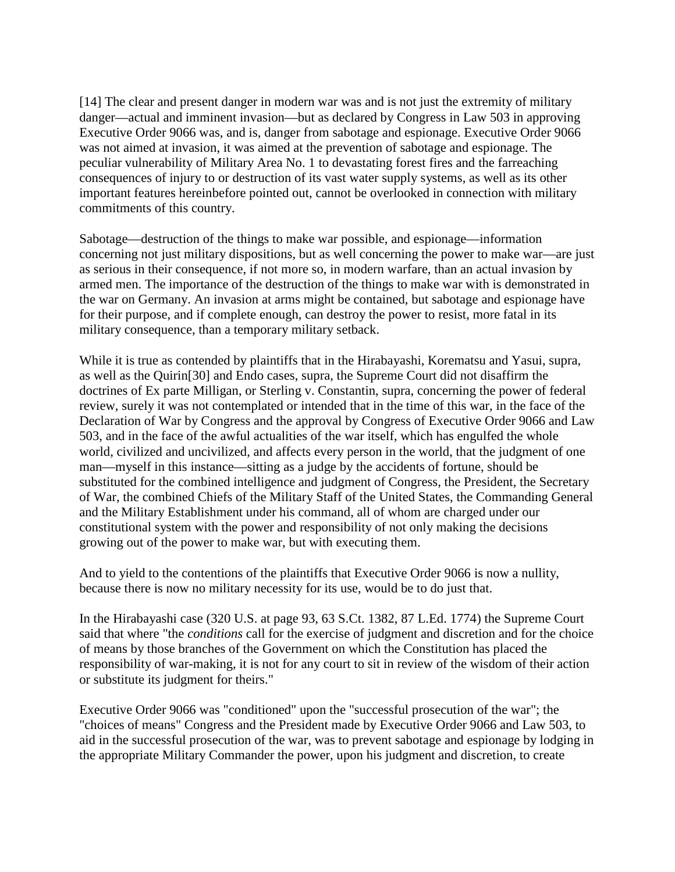[14] The clear and present danger in modern war was and is not just the extremity of military danger—actual and imminent invasion—but as declared by Congress in Law 503 in approving Executive Order 9066 was, and is, danger from sabotage and espionage. Executive Order 9066 was not aimed at invasion, it was aimed at the prevention of sabotage and espionage. The peculiar vulnerability of Military Area No. 1 to devastating forest fires and the farreaching consequences of injury to or destruction of its vast water supply systems, as well as its other important features hereinbefore pointed out, cannot be overlooked in connection with military commitments of this country.

Sabotage—destruction of the things to make war possible, and espionage—information concerning not just military dispositions, but as well concerning the power to make war—are just as serious in their consequence, if not more so, in modern warfare, than an actual invasion by armed men. The importance of the destruction of the things to make war with is demonstrated in the war on Germany. An invasion at arms might be contained, but sabotage and espionage have for their purpose, and if complete enough, can destroy the power to resist, more fatal in its military consequence, than a temporary military setback.

While it is true as contended by plaintiffs that in the Hirabayashi, Korematsu and Yasui, supra, as well as the Quirin[30] and Endo cases, supra, the Supreme Court did not disaffirm the doctrines of Ex parte Milligan, or Sterling v. Constantin, supra, concerning the power of federal review, surely it was not contemplated or intended that in the time of this war, in the face of the Declaration of War by Congress and the approval by Congress of Executive Order 9066 and Law 503, and in the face of the awful actualities of the war itself, which has engulfed the whole world, civilized and uncivilized, and affects every person in the world, that the judgment of one man—myself in this instance—sitting as a judge by the accidents of fortune, should be substituted for the combined intelligence and judgment of Congress, the President, the Secretary of War, the combined Chiefs of the Military Staff of the United States, the Commanding General and the Military Establishment under his command, all of whom are charged under our constitutional system with the power and responsibility of not only making the decisions growing out of the power to make war, but with executing them.

And to yield to the contentions of the plaintiffs that Executive Order 9066 is now a nullity, because there is now no military necessity for its use, would be to do just that.

In the Hirabayashi case (320 U.S. at page 93, 63 S.Ct. 1382, 87 L.Ed. 1774) the Supreme Court said that where "the *conditions* call for the exercise of judgment and discretion and for the choice of means by those branches of the Government on which the Constitution has placed the responsibility of war-making, it is not for any court to sit in review of the wisdom of their action or substitute its judgment for theirs."

Executive Order 9066 was "conditioned" upon the "successful prosecution of the war"; the "choices of means" Congress and the President made by Executive Order 9066 and Law 503, to aid in the successful prosecution of the war, was to prevent sabotage and espionage by lodging in the appropriate Military Commander the power, upon his judgment and discretion, to create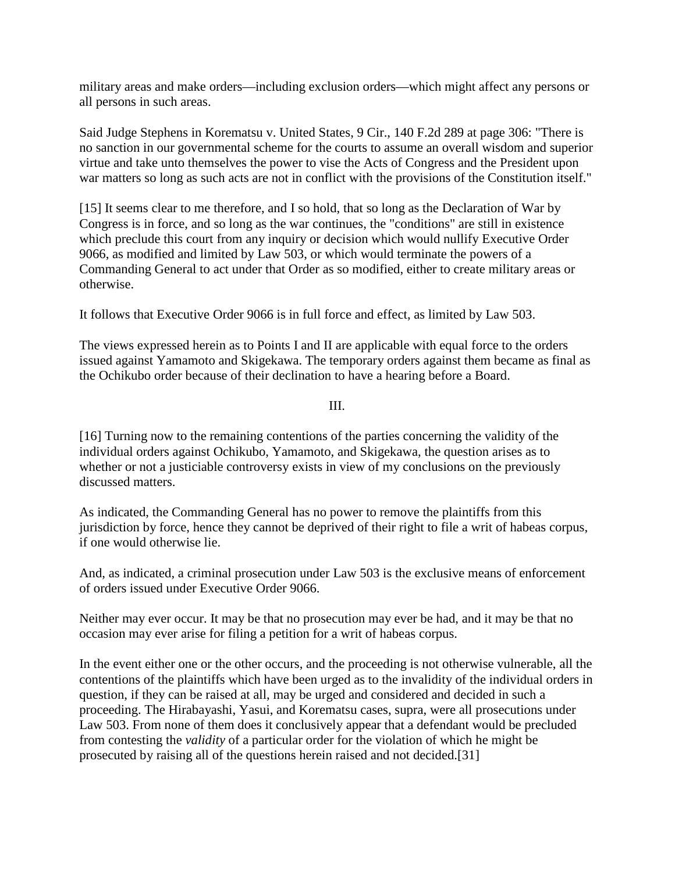military areas and make orders—including exclusion orders—which might affect any persons or all persons in such areas.

Said Judge Stephens in Korematsu v. United States, 9 Cir., 140 F.2d 289 at page 306: "There is no sanction in our governmental scheme for the courts to assume an overall wisdom and superior virtue and take unto themselves the power to vise the Acts of Congress and the President upon war matters so long as such acts are not in conflict with the provisions of the Constitution itself."

[15] It seems clear to me therefore, and I so hold, that so long as the Declaration of War by Congress is in force, and so long as the war continues, the "conditions" are still in existence which preclude this court from any inquiry or decision which would nullify Executive Order 9066, as modified and limited by Law 503, or which would terminate the powers of a Commanding General to act under that Order as so modified, either to create military areas or otherwise.

It follows that Executive Order 9066 is in full force and effect, as limited by Law 503.

The views expressed herein as to Points I and II are applicable with equal force to the orders issued against Yamamoto and Skigekawa. The temporary orders against them became as final as the Ochikubo order because of their declination to have a hearing before a Board.

III.

[16] Turning now to the remaining contentions of the parties concerning the validity of the individual orders against Ochikubo, Yamamoto, and Skigekawa, the question arises as to whether or not a justiciable controversy exists in view of my conclusions on the previously discussed matters.

As indicated, the Commanding General has no power to remove the plaintiffs from this jurisdiction by force, hence they cannot be deprived of their right to file a writ of habeas corpus, if one would otherwise lie.

And, as indicated, a criminal prosecution under Law 503 is the exclusive means of enforcement of orders issued under Executive Order 9066.

Neither may ever occur. It may be that no prosecution may ever be had, and it may be that no occasion may ever arise for filing a petition for a writ of habeas corpus.

In the event either one or the other occurs, and the proceeding is not otherwise vulnerable, all the contentions of the plaintiffs which have been urged as to the invalidity of the individual orders in question, if they can be raised at all, may be urged and considered and decided in such a proceeding. The Hirabayashi, Yasui, and Korematsu cases, supra, were all prosecutions under Law 503. From none of them does it conclusively appear that a defendant would be precluded from contesting the *validity* of a particular order for the violation of which he might be prosecuted by raising all of the questions herein raised and not decided.[31]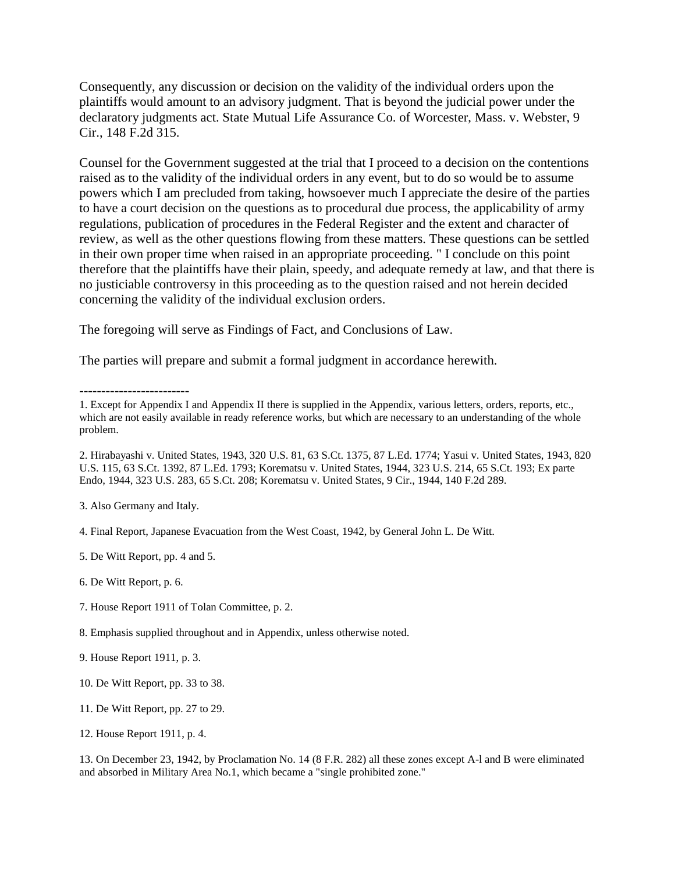Consequently, any discussion or decision on the validity of the individual orders upon the plaintiffs would amount to an advisory judgment. That is beyond the judicial power under the declaratory judgments act. State Mutual Life Assurance Co. of Worcester, Mass. v. Webster, 9 Cir., 148 F.2d 315.

Counsel for the Government suggested at the trial that I proceed to a decision on the contentions raised as to the validity of the individual orders in any event, but to do so would be to assume powers which I am precluded from taking, howsoever much I appreciate the desire of the parties to have a court decision on the questions as to procedural due process, the applicability of army regulations, publication of procedures in the Federal Register and the extent and character of review, as well as the other questions flowing from these matters. These questions can be settled in their own proper time when raised in an appropriate proceeding. " I conclude on this point therefore that the plaintiffs have their plain, speedy, and adequate remedy at law, and that there is no justiciable controversy in this proceeding as to the question raised and not herein decided concerning the validity of the individual exclusion orders.

The foregoing will serve as Findings of Fact, and Conclusions of Law.

The parties will prepare and submit a formal judgment in accordance herewith.

-------------------------

- 4. Final Report, Japanese Evacuation from the West Coast, 1942, by General John L. De Witt.
- 5. De Witt Report, pp. 4 and 5.
- 6. De Witt Report, p. 6.
- 7. House Report 1911 of Tolan Committee, p. 2.
- 8. Emphasis supplied throughout and in Appendix, unless otherwise noted.
- 9. House Report 1911, p. 3.
- 10. De Witt Report, pp. 33 to 38.
- 11. De Witt Report, pp. 27 to 29.
- 12. House Report 1911, p. 4.

13. On December 23, 1942, by Proclamation No. 14 (8 F.R. 282) all these zones except A-l and B were eliminated and absorbed in Military Area No.1, which became a "single prohibited zone."

<sup>1.</sup> Except for Appendix I and Appendix II there is supplied in the Appendix, various letters, orders, reports, etc., which are not easily available in ready reference works, but which are necessary to an understanding of the whole problem.

<sup>2.</sup> Hirabayashi v. United States, 1943, 320 U.S. 81, 63 S.Ct. 1375, 87 L.Ed. 1774; Yasui v. United States, 1943, 820 U.S. 115, 63 S.Ct. 1392, 87 L.Ed. 1793; Korematsu v. United States, 1944, 323 U.S. 214, 65 S.Ct. 193; Ex parte Endo, 1944, 323 U.S. 283, 65 S.Ct. 208; Korematsu v. United States, 9 Cir., 1944, 140 F.2d 289.

<sup>3.</sup> Also Germany and Italy.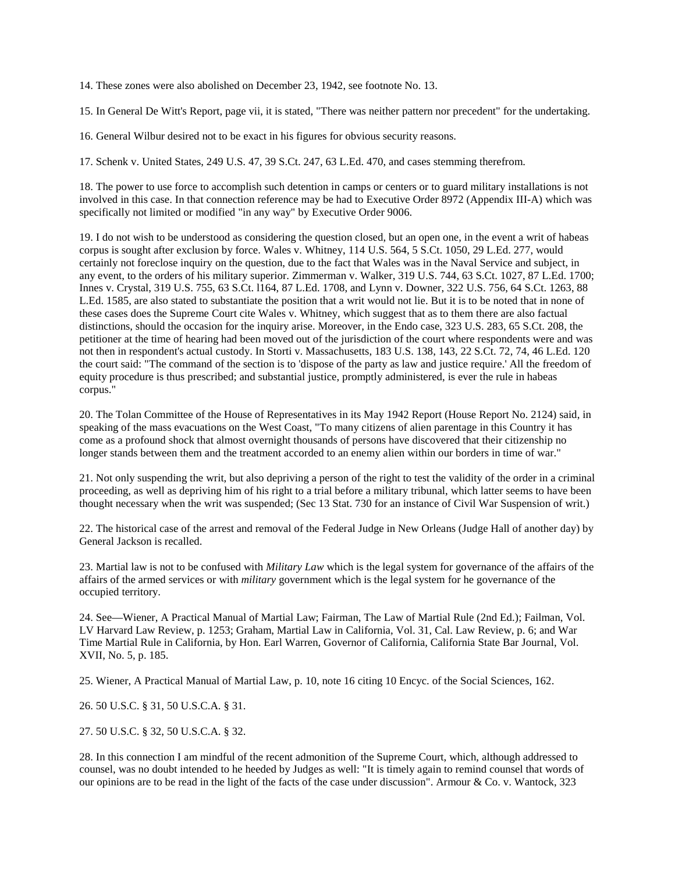14. These zones were also abolished on December 23, 1942, see footnote No. 13.

15. In General De Witt's Report, page vii, it is stated, "There was neither pattern nor precedent" for the undertaking.

16. General Wilbur desired not to be exact in his figures for obvious security reasons.

17. Schenk v. United States, 249 U.S. 47, 39 S.Ct. 247, 63 L.Ed. 470, and cases stemming therefrom.

18. The power to use force to accomplish such detention in camps or centers or to guard military installations is not involved in this case. In that connection reference may be had to Executive Order 8972 (Appendix III-A) which was specifically not limited or modified "in any way" by Executive Order 9006.

19. I do not wish to be understood as considering the question closed, but an open one, in the event a writ of habeas corpus is sought after exclusion by force. Wales v. Whitney, 114 U.S. 564, 5 S.Ct. 1050, 29 L.Ed. 277, would certainly not foreclose inquiry on the question, due to the fact that Wales was in the Naval Service and subject, in any event, to the orders of his military superior. Zimmerman v. Walker, 319 U.S. 744, 63 S.Ct. 1027, 87 L.Ed. 1700; Innes v. Crystal, 319 U.S. 755, 63 S.Ct. l164, 87 L.Ed. 1708, and Lynn v. Downer, 322 U.S. 756, 64 S.Ct. 1263, 88 L.Ed. 1585, are also stated to substantiate the position that a writ would not lie. But it is to be noted that in none of these cases does the Supreme Court cite Wales v. Whitney, which suggest that as to them there are also factual distinctions, should the occasion for the inquiry arise. Moreover, in the Endo case, 323 U.S. 283, 65 S.Ct. 208, the petitioner at the time of hearing had been moved out of the jurisdiction of the court where respondents were and was not then in respondent's actual custody. In Storti v. Massachusetts, 183 U.S. 138, 143, 22 S.Ct. 72, 74, 46 L.Ed. 120 the court said: "The command of the section is to 'dispose of the party as law and justice require.' All the freedom of equity procedure is thus prescribed; and substantial justice, promptly administered, is ever the rule in habeas corpus."

20. The Tolan Committee of the House of Representatives in its May 1942 Report (House Report No. 2124) said, in speaking of the mass evacuations on the West Coast, "To many citizens of alien parentage in this Country it has come as a profound shock that almost overnight thousands of persons have discovered that their citizenship no longer stands between them and the treatment accorded to an enemy alien within our borders in time of war."

21. Not only suspending the writ, but also depriving a person of the right to test the validity of the order in a criminal proceeding, as well as depriving him of his right to a trial before a military tribunal, which latter seems to have been thought necessary when the writ was suspended; (Sec 13 Stat. 730 for an instance of Civil War Suspension of writ.)

22. The historical case of the arrest and removal of the Federal Judge in New Orleans (Judge Hall of another day) by General Jackson is recalled.

23. Martial law is not to be confused with *Military Law* which is the legal system for governance of the affairs of the affairs of the armed services or with *military* government which is the legal system for he governance of the occupied territory.

24. See—Wiener, A Practical Manual of Martial Law; Fairman, The Law of Martial Rule (2nd Ed.); Failman, Vol. LV Harvard Law Review, p. 1253; Graham, Martial Law in California, Vol. 31, Cal. Law Review, p. 6; and War Time Martial Rule in California, by Hon. Earl Warren, Governor of California, California State Bar Journal, Vol. XVII, No. 5, p. 185.

25. Wiener, A Practical Manual of Martial Law, p. 10, note 16 citing 10 Encyc. of the Social Sciences, 162.

26. 50 U.S.C. § 31, 50 U.S.C.A. § 31.

27. 50 U.S.C. § 32, 50 U.S.C.A. § 32.

28. In this connection I am mindful of the recent admonition of the Supreme Court, which, although addressed to counsel, was no doubt intended to he heeded by Judges as well: "It is timely again to remind counsel that words of our opinions are to be read in the light of the facts of the case under discussion". Armour & Co. v. Wantock, 323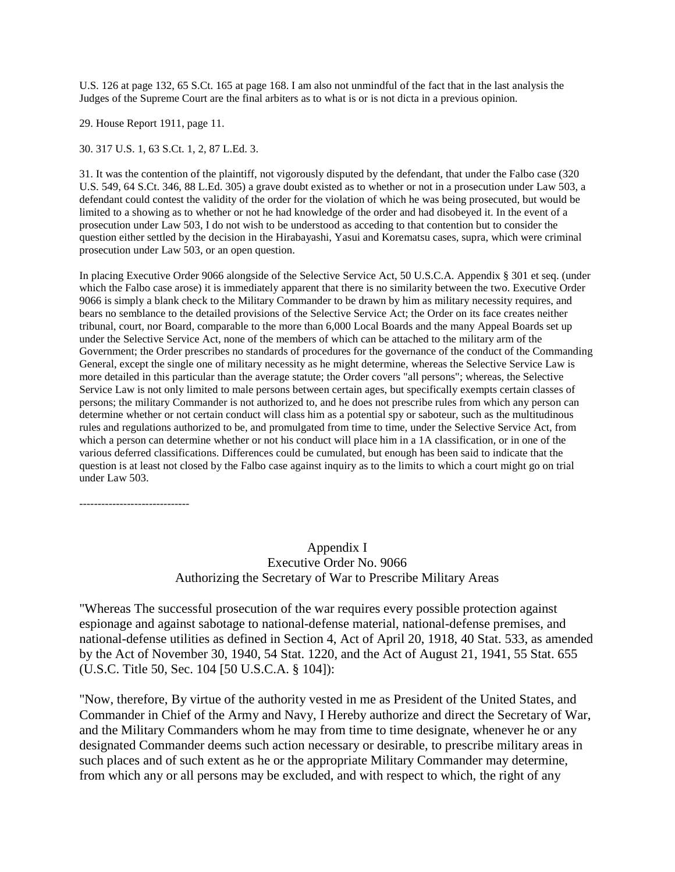U.S. 126 at page 132, 65 S.Ct. 165 at page 168. I am also not unmindful of the fact that in the last analysis the Judges of the Supreme Court are the final arbiters as to what is or is not dicta in a previous opinion.

29. House Report 1911, page 11.

30. 317 U.S. 1, 63 S.Ct. 1, 2, 87 L.Ed. 3.

31. It was the contention of the plaintiff, not vigorously disputed by the defendant, that under the Falbo case (320 U.S. 549, 64 S.Ct. 346, 88 L.Ed. 305) a grave doubt existed as to whether or not in a prosecution under Law 503, a defendant could contest the validity of the order for the violation of which he was being prosecuted, but would be limited to a showing as to whether or not he had knowledge of the order and had disobeyed it. In the event of a prosecution under Law 503, I do not wish to be understood as acceding to that contention but to consider the question either settled by the decision in the Hirabayashi, Yasui and Korematsu cases, supra, which were criminal prosecution under Law 503, or an open question.

In placing Executive Order 9066 alongside of the Selective Service Act, 50 U.S.C.A. Appendix § 301 et seq. (under which the Falbo case arose) it is immediately apparent that there is no similarity between the two. Executive Order 9066 is simply a blank check to the Military Commander to be drawn by him as military necessity requires, and bears no semblance to the detailed provisions of the Selective Service Act; the Order on its face creates neither tribunal, court, nor Board, comparable to the more than 6,000 Local Boards and the many Appeal Boards set up under the Selective Service Act, none of the members of which can be attached to the military arm of the Government; the Order prescribes no standards of procedures for the governance of the conduct of the Commanding General, except the single one of military necessity as he might determine, whereas the Selective Service Law is more detailed in this particular than the average statute; the Order covers "all persons"; whereas, the Selective Service Law is not only limited to male persons between certain ages, but specifically exempts certain classes of persons; the military Commander is not authorized to, and he does not prescribe rules from which any person can determine whether or not certain conduct will class him as a potential spy or saboteur, such as the multitudinous rules and regulations authorized to be, and promulgated from time to time, under the Selective Service Act, from which a person can determine whether or not his conduct will place him in a 1A classification, or in one of the various deferred classifications. Differences could be cumulated, but enough has been said to indicate that the question is at least not closed by the Falbo case against inquiry as to the limits to which a court might go on trial under Law 503.

------------------------------

### Appendix I Executive Order No. 9066 Authorizing the Secretary of War to Prescribe Military Areas

"Whereas The successful prosecution of the war requires every possible protection against espionage and against sabotage to national-defense material, national-defense premises, and national-defense utilities as defined in Section 4, Act of April 20, 1918, 40 Stat. 533, as amended by the Act of November 30, 1940, 54 Stat. 1220, and the Act of August 21, 1941, 55 Stat. 655 (U.S.C. Title 50, Sec. 104 [50 U.S.C.A. § 104]):

"Now, therefore, By virtue of the authority vested in me as President of the United States, and Commander in Chief of the Army and Navy, I Hereby authorize and direct the Secretary of War, and the Military Commanders whom he may from time to time designate, whenever he or any designated Commander deems such action necessary or desirable, to prescribe military areas in such places and of such extent as he or the appropriate Military Commander may determine, from which any or all persons may be excluded, and with respect to which, the right of any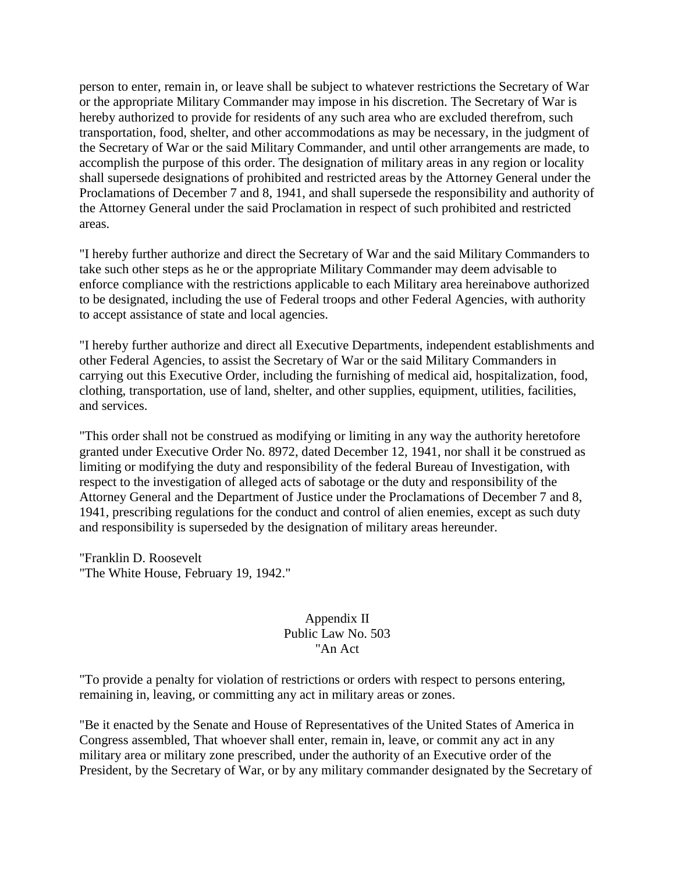person to enter, remain in, or leave shall be subject to whatever restrictions the Secretary of War or the appropriate Military Commander may impose in his discretion. The Secretary of War is hereby authorized to provide for residents of any such area who are excluded therefrom, such transportation, food, shelter, and other accommodations as may be necessary, in the judgment of the Secretary of War or the said Military Commander, and until other arrangements are made, to accomplish the purpose of this order. The designation of military areas in any region or locality shall supersede designations of prohibited and restricted areas by the Attorney General under the Proclamations of December 7 and 8, 1941, and shall supersede the responsibility and authority of the Attorney General under the said Proclamation in respect of such prohibited and restricted areas.

"I hereby further authorize and direct the Secretary of War and the said Military Commanders to take such other steps as he or the appropriate Military Commander may deem advisable to enforce compliance with the restrictions applicable to each Military area hereinabove authorized to be designated, including the use of Federal troops and other Federal Agencies, with authority to accept assistance of state and local agencies.

"I hereby further authorize and direct all Executive Departments, independent establishments and other Federal Agencies, to assist the Secretary of War or the said Military Commanders in carrying out this Executive Order, including the furnishing of medical aid, hospitalization, food, clothing, transportation, use of land, shelter, and other supplies, equipment, utilities, facilities, and services.

"This order shall not be construed as modifying or limiting in any way the authority heretofore granted under Executive Order No. 8972, dated December 12, 1941, nor shall it be construed as limiting or modifying the duty and responsibility of the federal Bureau of Investigation, with respect to the investigation of alleged acts of sabotage or the duty and responsibility of the Attorney General and the Department of Justice under the Proclamations of December 7 and 8, 1941, prescribing regulations for the conduct and control of alien enemies, except as such duty and responsibility is superseded by the designation of military areas hereunder.

"Franklin D. Roosevelt "The White House, February 19, 1942."

### Appendix II Public Law No. 503 "An Act

"To provide a penalty for violation of restrictions or orders with respect to persons entering, remaining in, leaving, or committing any act in military areas or zones.

"Be it enacted by the Senate and House of Representatives of the United States of America in Congress assembled, That whoever shall enter, remain in, leave, or commit any act in any military area or military zone prescribed, under the authority of an Executive order of the President, by the Secretary of War, or by any military commander designated by the Secretary of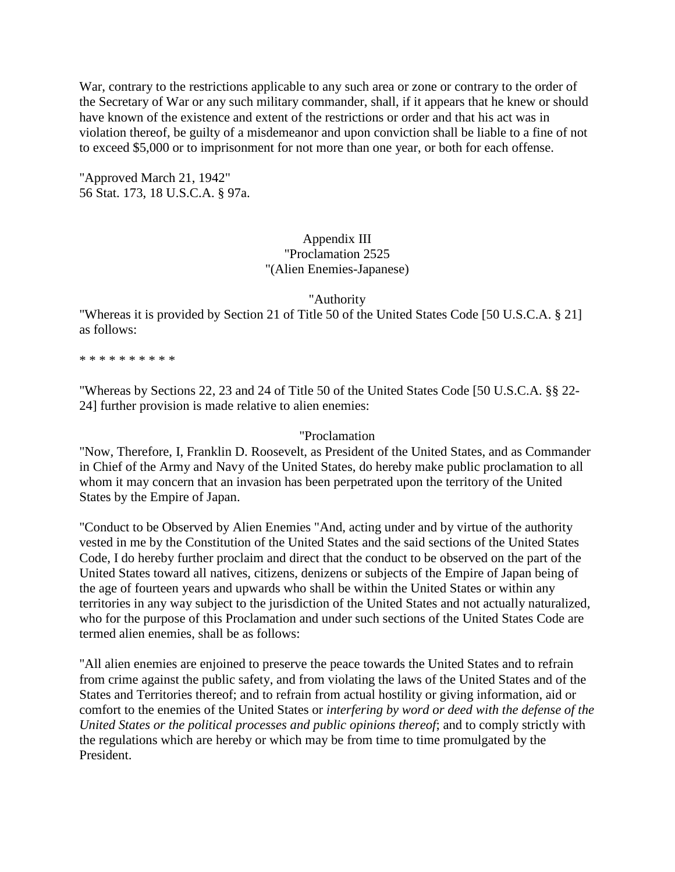War, contrary to the restrictions applicable to any such area or zone or contrary to the order of the Secretary of War or any such military commander, shall, if it appears that he knew or should have known of the existence and extent of the restrictions or order and that his act was in violation thereof, be guilty of a misdemeanor and upon conviction shall be liable to a fine of not to exceed \$5,000 or to imprisonment for not more than one year, or both for each offense.

"Approved March 21, 1942" 56 Stat. 173, 18 U.S.C.A. § 97a.

### Appendix III "Proclamation 2525 "(Alien Enemies-Japanese)

"Authority

"Whereas it is provided by Section 21 of Title 50 of the United States Code [50 U.S.C.A. § 21] as follows:

\* \* \* \* \* \* \* \* \* \*

"Whereas by Sections 22, 23 and 24 of Title 50 of the United States Code [50 U.S.C.A. §§ 22- 24] further provision is made relative to alien enemies:

### "Proclamation

"Now, Therefore, I, Franklin D. Roosevelt, as President of the United States, and as Commander in Chief of the Army and Navy of the United States, do hereby make public proclamation to all whom it may concern that an invasion has been perpetrated upon the territory of the United States by the Empire of Japan.

"Conduct to be Observed by Alien Enemies "And, acting under and by virtue of the authority vested in me by the Constitution of the United States and the said sections of the United States Code, I do hereby further proclaim and direct that the conduct to be observed on the part of the United States toward all natives, citizens, denizens or subjects of the Empire of Japan being of the age of fourteen years and upwards who shall be within the United States or within any territories in any way subject to the jurisdiction of the United States and not actually naturalized, who for the purpose of this Proclamation and under such sections of the United States Code are termed alien enemies, shall be as follows:

"All alien enemies are enjoined to preserve the peace towards the United States and to refrain from crime against the public safety, and from violating the laws of the United States and of the States and Territories thereof; and to refrain from actual hostility or giving information, aid or comfort to the enemies of the United States or *interfering by word or deed with the defense of the United States or the political processes and public opinions thereof*; and to comply strictly with the regulations which are hereby or which may be from time to time promulgated by the President.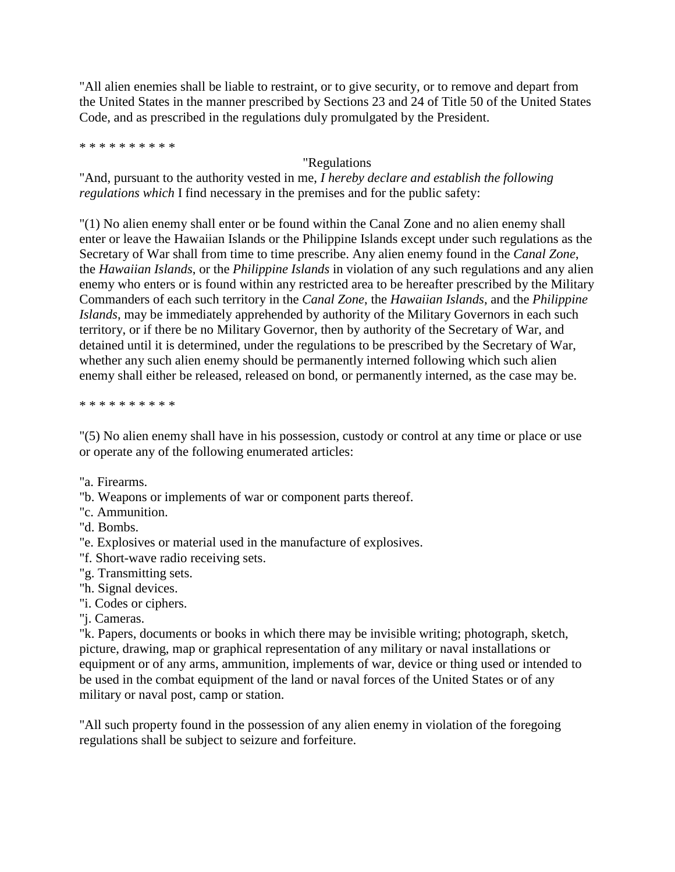"All alien enemies shall be liable to restraint, or to give security, or to remove and depart from the United States in the manner prescribed by Sections 23 and 24 of Title 50 of the United States Code, and as prescribed in the regulations duly promulgated by the President.

\* \* \* \* \* \* \* \* \* \*

### "Regulations

"And, pursuant to the authority vested in me, *I hereby declare and establish the following regulations which* I find necessary in the premises and for the public safety:

"(1) No alien enemy shall enter or be found within the Canal Zone and no alien enemy shall enter or leave the Hawaiian Islands or the Philippine Islands except under such regulations as the Secretary of War shall from time to time prescribe. Any alien enemy found in the *Canal Zone*, the *Hawaiian Islands*, or the *Philippine Islands* in violation of any such regulations and any alien enemy who enters or is found within any restricted area to be hereafter prescribed by the Military Commanders of each such territory in the *Canal Zone*, the *Hawaiian Islands*, and the *Philippine Islands*, may be immediately apprehended by authority of the Military Governors in each such territory, or if there be no Military Governor, then by authority of the Secretary of War, and detained until it is determined, under the regulations to be prescribed by the Secretary of War, whether any such alien enemy should be permanently interned following which such alien enemy shall either be released, released on bond, or permanently interned, as the case may be.

\* \* \* \* \* \* \* \* \* \*

"(5) No alien enemy shall have in his possession, custody or control at any time or place or use or operate any of the following enumerated articles:

"a. Firearms.

- "b. Weapons or implements of war or component parts thereof.
- "c. Ammunition.
- "d. Bombs.
- "e. Explosives or material used in the manufacture of explosives.
- "f. Short-wave radio receiving sets.
- "g. Transmitting sets.
- "h. Signal devices.
- "i. Codes or ciphers.
- "j. Cameras.

"k. Papers, documents or books in which there may be invisible writing; photograph, sketch, picture, drawing, map or graphical representation of any military or naval installations or equipment or of any arms, ammunition, implements of war, device or thing used or intended to be used in the combat equipment of the land or naval forces of the United States or of any military or naval post, camp or station.

"All such property found in the possession of any alien enemy in violation of the foregoing regulations shall be subject to seizure and forfeiture.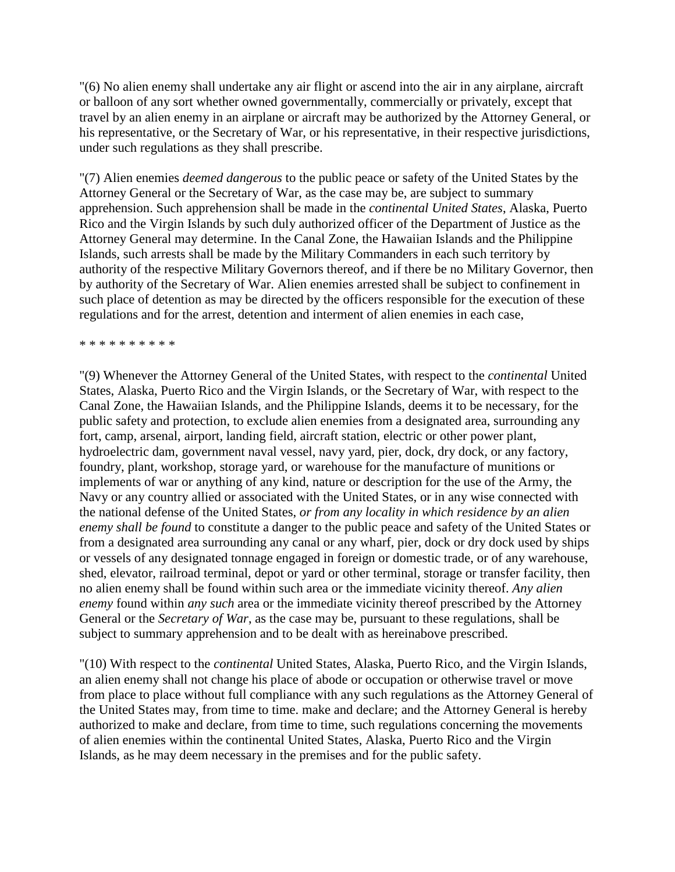"(6) No alien enemy shall undertake any air flight or ascend into the air in any airplane, aircraft or balloon of any sort whether owned governmentally, commercially or privately, except that travel by an alien enemy in an airplane or aircraft may be authorized by the Attorney General, or his representative, or the Secretary of War, or his representative, in their respective jurisdictions, under such regulations as they shall prescribe.

"(7) Alien enemies *deemed dangerous* to the public peace or safety of the United States by the Attorney General or the Secretary of War, as the case may be, are subject to summary apprehension. Such apprehension shall be made in the *continental United States*, Alaska, Puerto Rico and the Virgin Islands by such duly authorized officer of the Department of Justice as the Attorney General may determine. In the Canal Zone, the Hawaiian Islands and the Philippine Islands, such arrests shall be made by the Military Commanders in each such territory by authority of the respective Military Governors thereof, and if there be no Military Governor, then by authority of the Secretary of War. Alien enemies arrested shall be subject to confinement in such place of detention as may be directed by the officers responsible for the execution of these regulations and for the arrest, detention and interment of alien enemies in each case,

\* \* \* \* \* \* \* \* \* \*

"(9) Whenever the Attorney General of the United States, with respect to the *continental* United States, Alaska, Puerto Rico and the Virgin Islands, or the Secretary of War, with respect to the Canal Zone, the Hawaiian Islands, and the Philippine Islands, deems it to be necessary, for the public safety and protection, to exclude alien enemies from a designated area, surrounding any fort, camp, arsenal, airport, landing field, aircraft station, electric or other power plant, hydroelectric dam, government naval vessel, navy yard, pier, dock, dry dock, or any factory, foundry, plant, workshop, storage yard, or warehouse for the manufacture of munitions or implements of war or anything of any kind, nature or description for the use of the Army, the Navy or any country allied or associated with the United States, or in any wise connected with the national defense of the United States, *or from any locality in which residence by an alien enemy shall be found* to constitute a danger to the public peace and safety of the United States or from a designated area surrounding any canal or any wharf, pier, dock or dry dock used by ships or vessels of any designated tonnage engaged in foreign or domestic trade, or of any warehouse, shed, elevator, railroad terminal, depot or yard or other terminal, storage or transfer facility, then no alien enemy shall be found within such area or the immediate vicinity thereof. *Any alien enemy* found within *any such* area or the immediate vicinity thereof prescribed by the Attorney General or the *Secretary of War*, as the case may be, pursuant to these regulations, shall be subject to summary apprehension and to be dealt with as hereinabove prescribed.

"(10) With respect to the *continental* United States, Alaska, Puerto Rico, and the Virgin Islands, an alien enemy shall not change his place of abode or occupation or otherwise travel or move from place to place without full compliance with any such regulations as the Attorney General of the United States may, from time to time. make and declare; and the Attorney General is hereby authorized to make and declare, from time to time, such regulations concerning the movements of alien enemies within the continental United States, Alaska, Puerto Rico and the Virgin Islands, as he may deem necessary in the premises and for the public safety.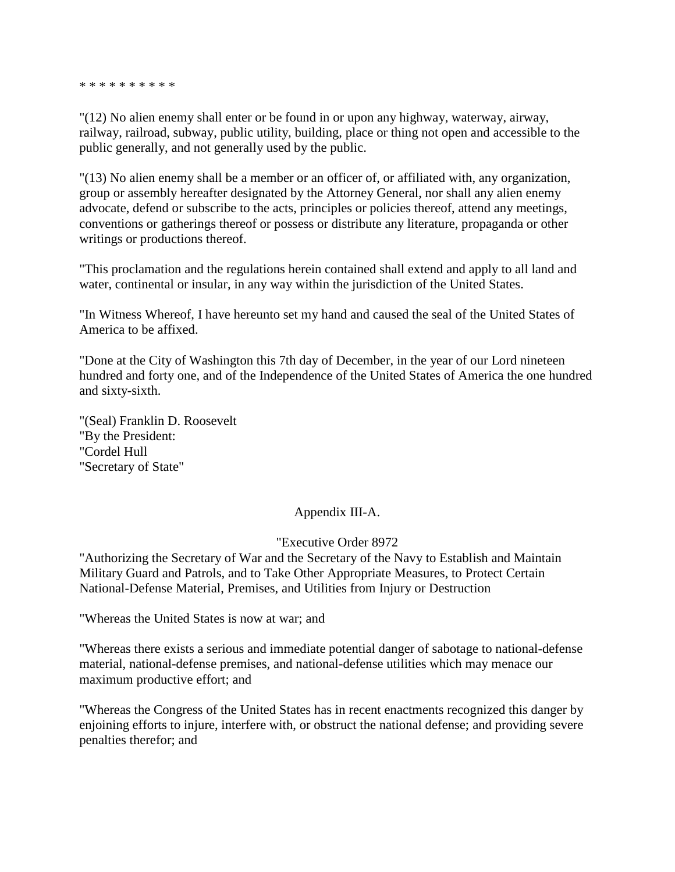#### \* \* \* \* \* \* \* \* \* \*

"(12) No alien enemy shall enter or be found in or upon any highway, waterway, airway, railway, railroad, subway, public utility, building, place or thing not open and accessible to the public generally, and not generally used by the public.

"(13) No alien enemy shall be a member or an officer of, or affiliated with, any organization, group or assembly hereafter designated by the Attorney General, nor shall any alien enemy advocate, defend or subscribe to the acts, principles or policies thereof, attend any meetings, conventions or gatherings thereof or possess or distribute any literature, propaganda or other writings or productions thereof.

"This proclamation and the regulations herein contained shall extend and apply to all land and water, continental or insular, in any way within the jurisdiction of the United States.

"In Witness Whereof, I have hereunto set my hand and caused the seal of the United States of America to be affixed.

"Done at the City of Washington this 7th day of December, in the year of our Lord nineteen hundred and forty one, and of the Independence of the United States of America the one hundred and sixty-sixth.

"(Seal) Franklin D. Roosevelt "By the President: "Cordel Hull "Secretary of State"

### Appendix III-A.

### "Executive Order 8972

"Authorizing the Secretary of War and the Secretary of the Navy to Establish and Maintain Military Guard and Patrols, and to Take Other Appropriate Measures, to Protect Certain National-Defense Material, Premises, and Utilities from Injury or Destruction

"Whereas the United States is now at war; and

"Whereas there exists a serious and immediate potential danger of sabotage to national-defense material, national-defense premises, and national-defense utilities which may menace our maximum productive effort; and

"Whereas the Congress of the United States has in recent enactments recognized this danger by enjoining efforts to injure, interfere with, or obstruct the national defense; and providing severe penalties therefor; and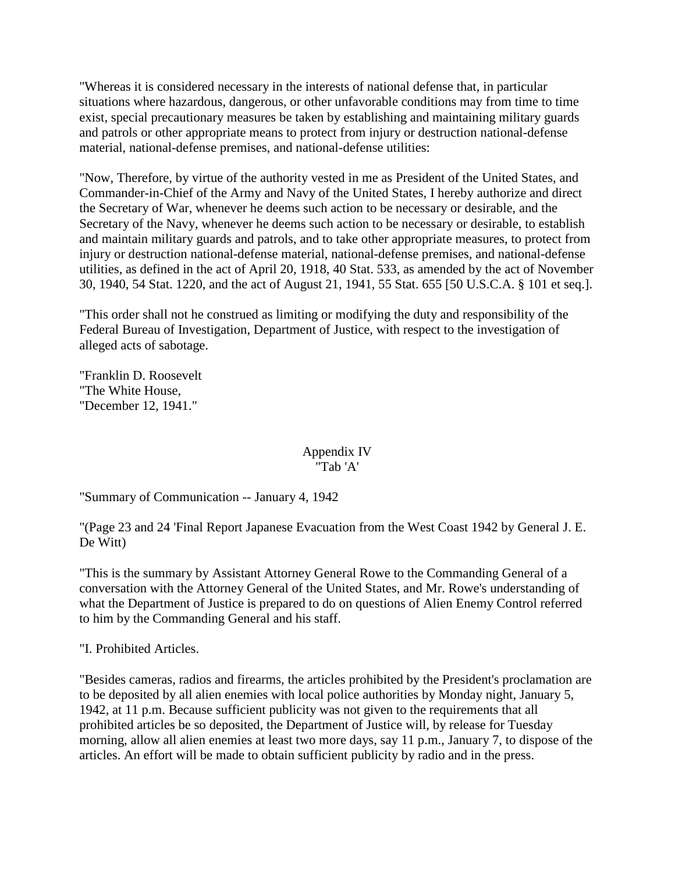"Whereas it is considered necessary in the interests of national defense that, in particular situations where hazardous, dangerous, or other unfavorable conditions may from time to time exist, special precautionary measures be taken by establishing and maintaining military guards and patrols or other appropriate means to protect from injury or destruction national-defense material, national-defense premises, and national-defense utilities:

"Now, Therefore, by virtue of the authority vested in me as President of the United States, and Commander-in-Chief of the Army and Navy of the United States, I hereby authorize and direct the Secretary of War, whenever he deems such action to be necessary or desirable, and the Secretary of the Navy, whenever he deems such action to be necessary or desirable, to establish and maintain military guards and patrols, and to take other appropriate measures, to protect from injury or destruction national-defense material, national-defense premises, and national-defense utilities, as defined in the act of April 20, 1918, 40 Stat. 533, as amended by the act of November 30, 1940, 54 Stat. 1220, and the act of August 21, 1941, 55 Stat. 655 [50 U.S.C.A. § 101 et seq.].

"This order shall not he construed as limiting or modifying the duty and responsibility of the Federal Bureau of Investigation, Department of Justice, with respect to the investigation of alleged acts of sabotage.

"Franklin D. Roosevelt "The White House, "December 12, 1941."

# Appendix IV "Tab 'A'

"Summary of Communication -- January 4, 1942

"(Page 23 and 24 'Final Report Japanese Evacuation from the West Coast 1942 by General J. E. De Witt)

"This is the summary by Assistant Attorney General Rowe to the Commanding General of a conversation with the Attorney General of the United States, and Mr. Rowe's understanding of what the Department of Justice is prepared to do on questions of Alien Enemy Control referred to him by the Commanding General and his staff.

"I. Prohibited Articles.

"Besides cameras, radios and firearms, the articles prohibited by the President's proclamation are to be deposited by all alien enemies with local police authorities by Monday night, January 5, 1942, at 11 p.m. Because sufficient publicity was not given to the requirements that all prohibited articles be so deposited, the Department of Justice will, by release for Tuesday morning, allow all alien enemies at least two more days, say 11 p.m., January 7, to dispose of the articles. An effort will be made to obtain sufficient publicity by radio and in the press.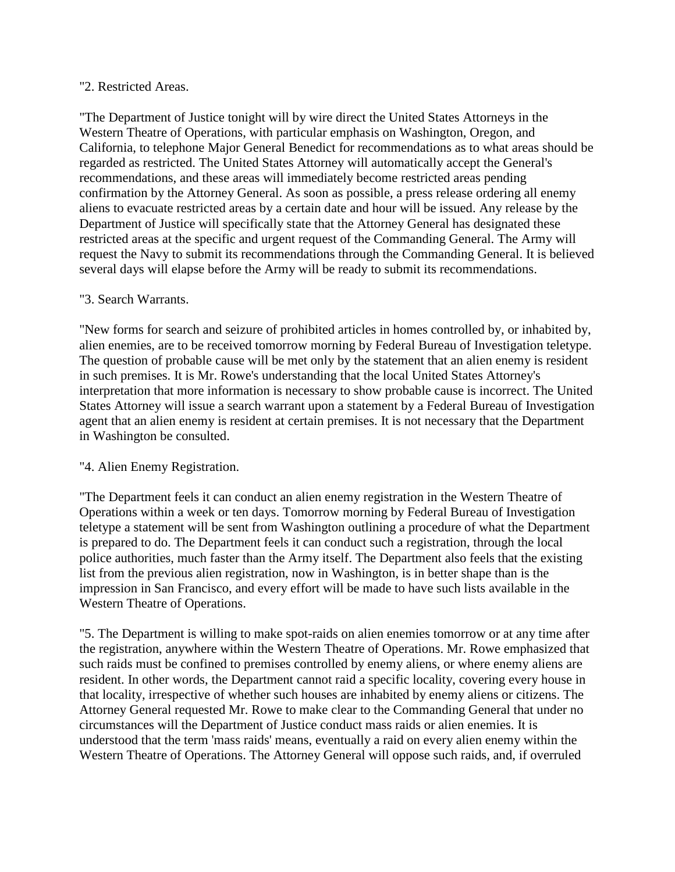#### "2. Restricted Areas.

"The Department of Justice tonight will by wire direct the United States Attorneys in the Western Theatre of Operations, with particular emphasis on Washington, Oregon, and California, to telephone Major General Benedict for recommendations as to what areas should be regarded as restricted. The United States Attorney will automatically accept the General's recommendations, and these areas will immediately become restricted areas pending confirmation by the Attorney General. As soon as possible, a press release ordering all enemy aliens to evacuate restricted areas by a certain date and hour will be issued. Any release by the Department of Justice will specifically state that the Attorney General has designated these restricted areas at the specific and urgent request of the Commanding General. The Army will request the Navy to submit its recommendations through the Commanding General. It is believed several days will elapse before the Army will be ready to submit its recommendations.

### "3. Search Warrants.

"New forms for search and seizure of prohibited articles in homes controlled by, or inhabited by, alien enemies, are to be received tomorrow morning by Federal Bureau of Investigation teletype. The question of probable cause will be met only by the statement that an alien enemy is resident in such premises. It is Mr. Rowe's understanding that the local United States Attorney's interpretation that more information is necessary to show probable cause is incorrect. The United States Attorney will issue a search warrant upon a statement by a Federal Bureau of Investigation agent that an alien enemy is resident at certain premises. It is not necessary that the Department in Washington be consulted.

### "4. Alien Enemy Registration.

"The Department feels it can conduct an alien enemy registration in the Western Theatre of Operations within a week or ten days. Tomorrow morning by Federal Bureau of Investigation teletype a statement will be sent from Washington outlining a procedure of what the Department is prepared to do. The Department feels it can conduct such a registration, through the local police authorities, much faster than the Army itself. The Department also feels that the existing list from the previous alien registration, now in Washington, is in better shape than is the impression in San Francisco, and every effort will be made to have such lists available in the Western Theatre of Operations.

"5. The Department is willing to make spot-raids on alien enemies tomorrow or at any time after the registration, anywhere within the Western Theatre of Operations. Mr. Rowe emphasized that such raids must be confined to premises controlled by enemy aliens, or where enemy aliens are resident. In other words, the Department cannot raid a specific locality, covering every house in that locality, irrespective of whether such houses are inhabited by enemy aliens or citizens. The Attorney General requested Mr. Rowe to make clear to the Commanding General that under no circumstances will the Department of Justice conduct mass raids or alien enemies. It is understood that the term 'mass raids' means, eventually a raid on every alien enemy within the Western Theatre of Operations. The Attorney General will oppose such raids, and, if overruled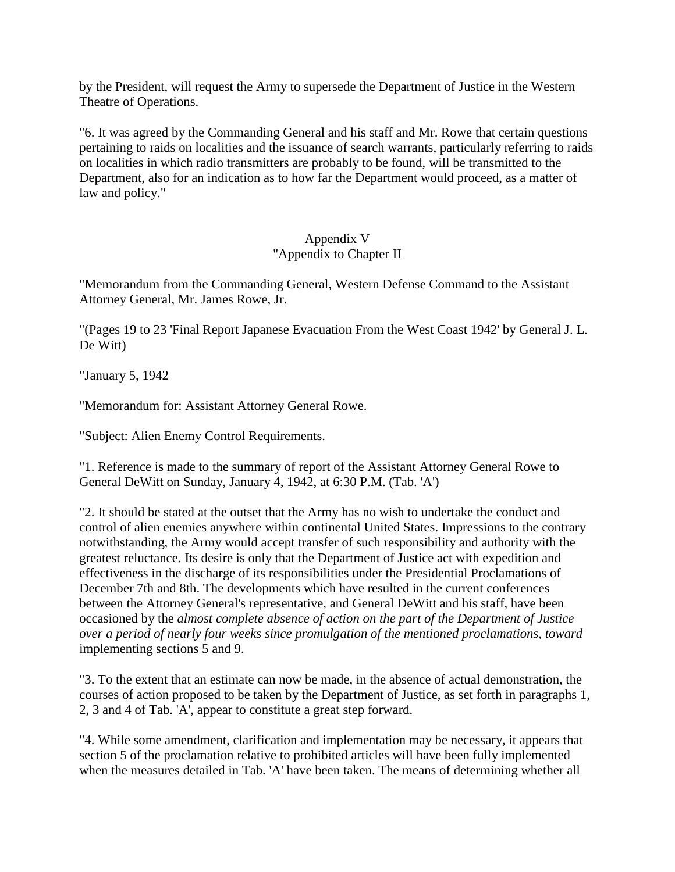by the President, will request the Army to supersede the Department of Justice in the Western Theatre of Operations.

"6. It was agreed by the Commanding General and his staff and Mr. Rowe that certain questions pertaining to raids on localities and the issuance of search warrants, particularly referring to raids on localities in which radio transmitters are probably to be found, will be transmitted to the Department, also for an indication as to how far the Department would proceed, as a matter of law and policy."

# Appendix V "Appendix to Chapter II

"Memorandum from the Commanding General, Western Defense Command to the Assistant Attorney General, Mr. James Rowe, Jr.

"(Pages 19 to 23 'Final Report Japanese Evacuation From the West Coast 1942' by General J. L. De Witt)

"January 5, 1942

"Memorandum for: Assistant Attorney General Rowe.

"Subject: Alien Enemy Control Requirements.

"1. Reference is made to the summary of report of the Assistant Attorney General Rowe to General DeWitt on Sunday, January 4, 1942, at 6:30 P.M. (Tab. 'A')

"2. It should be stated at the outset that the Army has no wish to undertake the conduct and control of alien enemies anywhere within continental United States. Impressions to the contrary notwithstanding, the Army would accept transfer of such responsibility and authority with the greatest reluctance. Its desire is only that the Department of Justice act with expedition and effectiveness in the discharge of its responsibilities under the Presidential Proclamations of December 7th and 8th. The developments which have resulted in the current conferences between the Attorney General's representative, and General DeWitt and his staff, have been occasioned by the *almost complete absence of action on the part of the Department of Justice over a period of nearly four weeks since promulgation of the mentioned proclamations, toward* implementing sections 5 and 9.

"3. To the extent that an estimate can now be made, in the absence of actual demonstration, the courses of action proposed to be taken by the Department of Justice, as set forth in paragraphs 1, 2, 3 and 4 of Tab. 'A', appear to constitute a great step forward.

"4. While some amendment, clarification and implementation may be necessary, it appears that section 5 of the proclamation relative to prohibited articles will have been fully implemented when the measures detailed in Tab. 'A' have been taken. The means of determining whether all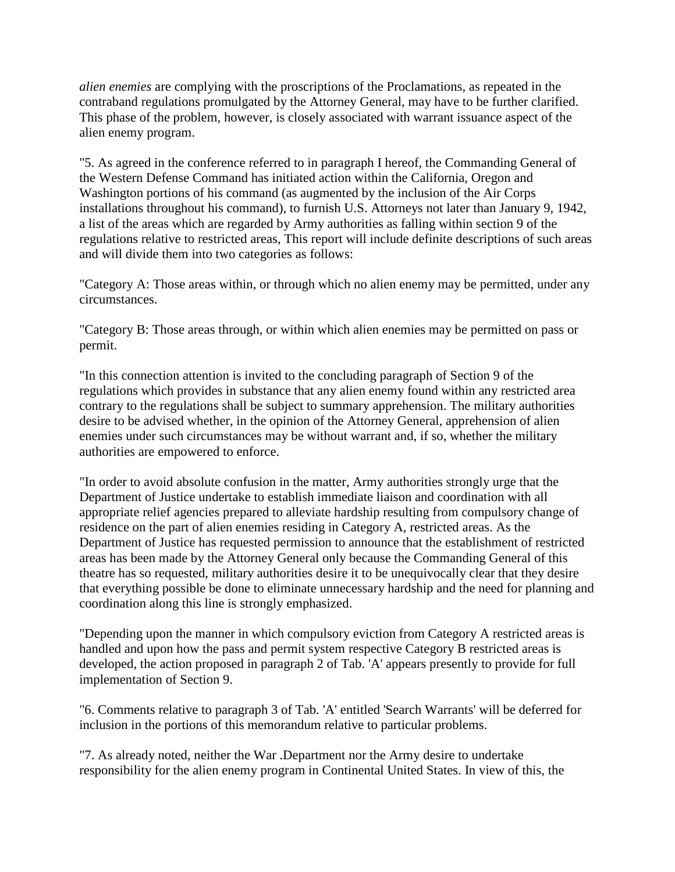*alien enemies* are complying with the proscriptions of the Proclamations, as repeated in the contraband regulations promulgated by the Attorney General, may have to be further clarified. This phase of the problem, however, is closely associated with warrant issuance aspect of the alien enemy program.

"5. As agreed in the conference referred to in paragraph I hereof, the Commanding General of the Western Defense Command has initiated action within the California, Oregon and Washington portions of his command (as augmented by the inclusion of the Air Corps installations throughout his command), to furnish U.S. Attorneys not later than January 9, 1942, a list of the areas which are regarded by Army authorities as falling within section 9 of the regulations relative to restricted areas, This report will include definite descriptions of such areas and will divide them into two categories as follows:

"Category A: Those areas within, or through which no alien enemy may be permitted, under any circumstances.

"Category B: Those areas through, or within which alien enemies may be permitted on pass or permit.

"In this connection attention is invited to the concluding paragraph of Section 9 of the regulations which provides in substance that any alien enemy found within any restricted area contrary to the regulations shall be subject to summary apprehension. The military authorities desire to be advised whether, in the opinion of the Attorney General, apprehension of alien enemies under such circumstances may be without warrant and, if so, whether the military authorities are empowered to enforce.

"In order to avoid absolute confusion in the matter, Army authorities strongly urge that the Department of Justice undertake to establish immediate liaison and coordination with all appropriate relief agencies prepared to alleviate hardship resulting from compulsory change of residence on the part of alien enemies residing in Category A, restricted areas. As the Department of Justice has requested permission to announce that the establishment of restricted areas has been made by the Attorney General only because the Commanding General of this theatre has so requested, military authorities desire it to be unequivocally clear that they desire that everything possible be done to eliminate unnecessary hardship and the need for planning and coordination along this line is strongly emphasized.

"Depending upon the manner in which compulsory eviction from Category A restricted areas is handled and upon how the pass and permit system respective Category B restricted areas is developed, the action proposed in paragraph 2 of Tab. 'A' appears presently to provide for full implementation of Section 9.

"6. Comments relative to paragraph 3 of Tab. 'A' entitled 'Search Warrants' will be deferred for inclusion in the portions of this memorandum relative to particular problems.

"7. As already noted, neither the War .Department nor the Army desire to undertake responsibility for the alien enemy program in Continental United States. In view of this, the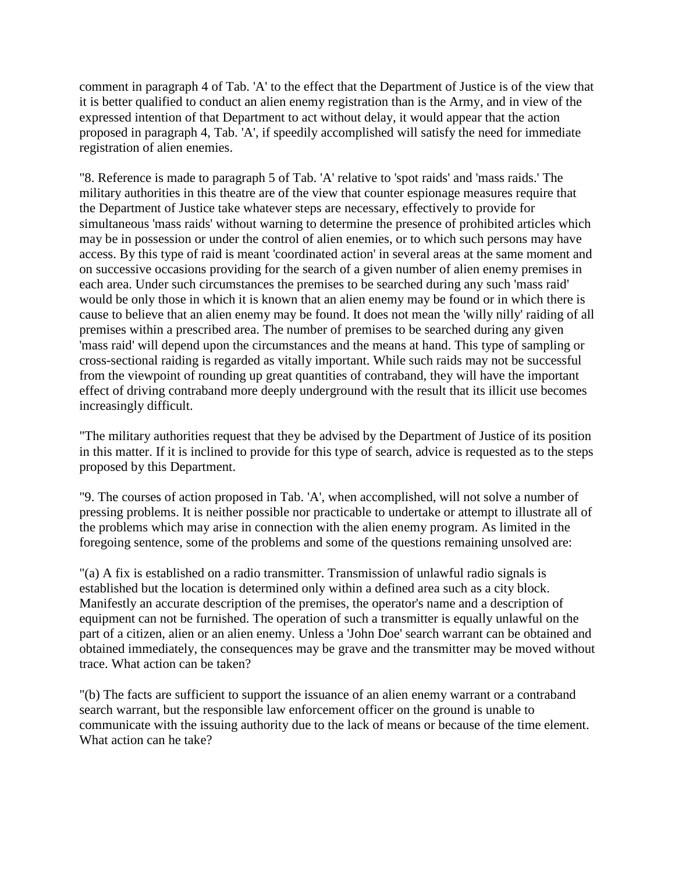comment in paragraph 4 of Tab. 'A' to the effect that the Department of Justice is of the view that it is better qualified to conduct an alien enemy registration than is the Army, and in view of the expressed intention of that Department to act without delay, it would appear that the action proposed in paragraph 4, Tab. 'A', if speedily accomplished will satisfy the need for immediate registration of alien enemies.

"8. Reference is made to paragraph 5 of Tab. 'A' relative to 'spot raids' and 'mass raids.' The military authorities in this theatre are of the view that counter espionage measures require that the Department of Justice take whatever steps are necessary, effectively to provide for simultaneous 'mass raids' without warning to determine the presence of prohibited articles which may be in possession or under the control of alien enemies, or to which such persons may have access. By this type of raid is meant 'coordinated action' in several areas at the same moment and on successive occasions providing for the search of a given number of alien enemy premises in each area. Under such circumstances the premises to be searched during any such 'mass raid' would be only those in which it is known that an alien enemy may be found or in which there is cause to believe that an alien enemy may be found. It does not mean the 'willy nilly' raiding of all premises within a prescribed area. The number of premises to be searched during any given 'mass raid' will depend upon the circumstances and the means at hand. This type of sampling or cross-sectional raiding is regarded as vitally important. While such raids may not be successful from the viewpoint of rounding up great quantities of contraband, they will have the important effect of driving contraband more deeply underground with the result that its illicit use becomes increasingly difficult.

"The military authorities request that they be advised by the Department of Justice of its position in this matter. If it is inclined to provide for this type of search, advice is requested as to the steps proposed by this Department.

"9. The courses of action proposed in Tab. 'A', when accomplished, will not solve a number of pressing problems. It is neither possible nor practicable to undertake or attempt to illustrate all of the problems which may arise in connection with the alien enemy program. As limited in the foregoing sentence, some of the problems and some of the questions remaining unsolved are:

"(a) A fix is established on a radio transmitter. Transmission of unlawful radio signals is established but the location is determined only within a defined area such as a city block. Manifestly an accurate description of the premises, the operator's name and a description of equipment can not be furnished. The operation of such a transmitter is equally unlawful on the part of a citizen, alien or an alien enemy. Unless a 'John Doe' search warrant can be obtained and obtained immediately, the consequences may be grave and the transmitter may be moved without trace. What action can be taken?

"(b) The facts are sufficient to support the issuance of an alien enemy warrant or a contraband search warrant, but the responsible law enforcement officer on the ground is unable to communicate with the issuing authority due to the lack of means or because of the time element. What action can he take?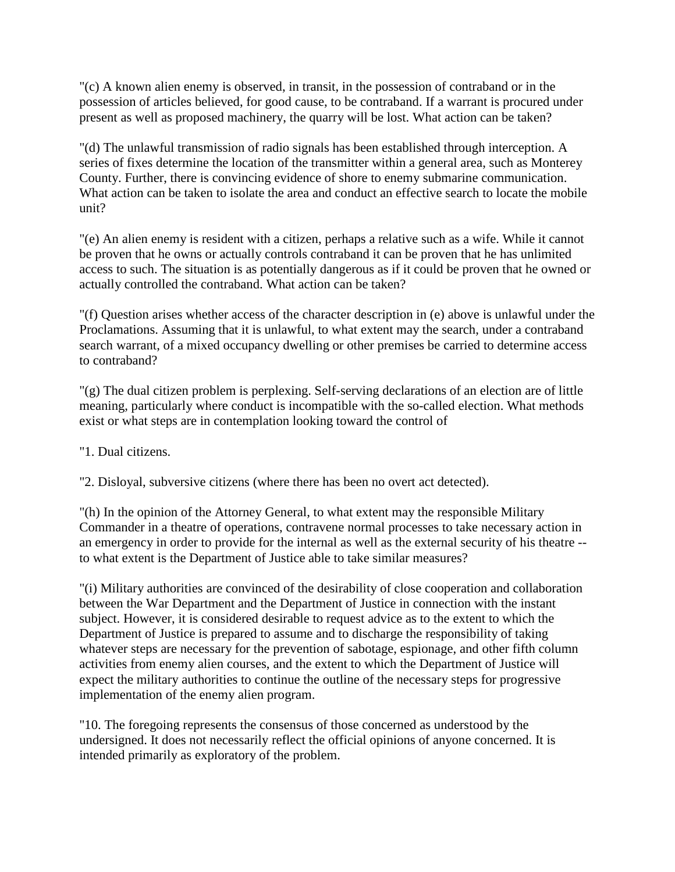"(c) A known alien enemy is observed, in transit, in the possession of contraband or in the possession of articles believed, for good cause, to be contraband. If a warrant is procured under present as well as proposed machinery, the quarry will be lost. What action can be taken?

"(d) The unlawful transmission of radio signals has been established through interception. A series of fixes determine the location of the transmitter within a general area, such as Monterey County. Further, there is convincing evidence of shore to enemy submarine communication. What action can be taken to isolate the area and conduct an effective search to locate the mobile unit?

"(e) An alien enemy is resident with a citizen, perhaps a relative such as a wife. While it cannot be proven that he owns or actually controls contraband it can be proven that he has unlimited access to such. The situation is as potentially dangerous as if it could be proven that he owned or actually controlled the contraband. What action can be taken?

"(f) Question arises whether access of the character description in (e) above is unlawful under the Proclamations. Assuming that it is unlawful, to what extent may the search, under a contraband search warrant, of a mixed occupancy dwelling or other premises be carried to determine access to contraband?

"(g) The dual citizen problem is perplexing. Self-serving declarations of an election are of little meaning, particularly where conduct is incompatible with the so-called election. What methods exist or what steps are in contemplation looking toward the control of

"1. Dual citizens.

"2. Disloyal, subversive citizens (where there has been no overt act detected).

"(h) In the opinion of the Attorney General, to what extent may the responsible Military Commander in a theatre of operations, contravene normal processes to take necessary action in an emergency in order to provide for the internal as well as the external security of his theatre - to what extent is the Department of Justice able to take similar measures?

"(i) Military authorities are convinced of the desirability of close cooperation and collaboration between the War Department and the Department of Justice in connection with the instant subject. However, it is considered desirable to request advice as to the extent to which the Department of Justice is prepared to assume and to discharge the responsibility of taking whatever steps are necessary for the prevention of sabotage, espionage, and other fifth column activities from enemy alien courses, and the extent to which the Department of Justice will expect the military authorities to continue the outline of the necessary steps for progressive implementation of the enemy alien program.

"10. The foregoing represents the consensus of those concerned as understood by the undersigned. It does not necessarily reflect the official opinions of anyone concerned. It is intended primarily as exploratory of the problem.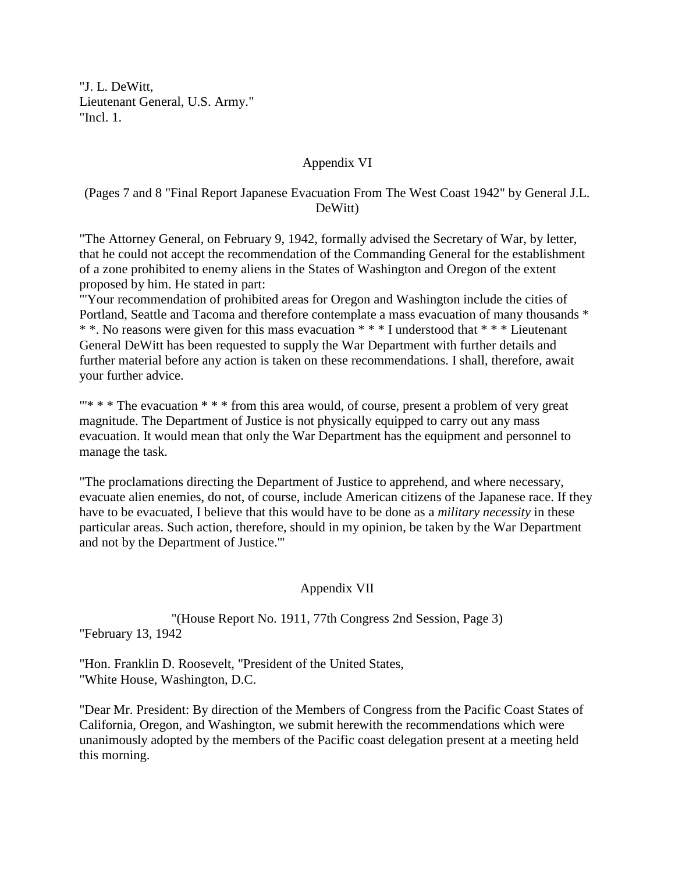"J. L. DeWitt, Lieutenant General, U.S. Army." "Incl. 1.

### Appendix VI

### (Pages 7 and 8 "Final Report Japanese Evacuation From The West Coast 1942" by General J.L. DeWitt)

"The Attorney General, on February 9, 1942, formally advised the Secretary of War, by letter, that he could not accept the recommendation of the Commanding General for the establishment of a zone prohibited to enemy aliens in the States of Washington and Oregon of the extent proposed by him. He stated in part:

"'Your recommendation of prohibited areas for Oregon and Washington include the cities of Portland, Seattle and Tacoma and therefore contemplate a mass evacuation of many thousands \* \* \*. No reasons were given for this mass evacuation \* \* \* I understood that \* \* \* Lieutenant General DeWitt has been requested to supply the War Department with further details and further material before any action is taken on these recommendations. I shall, therefore, await your further advice.

"'\* \* \* The evacuation \* \* \* from this area would, of course, present a problem of very great magnitude. The Department of Justice is not physically equipped to carry out any mass evacuation. It would mean that only the War Department has the equipment and personnel to manage the task.

"The proclamations directing the Department of Justice to apprehend, and where necessary, evacuate alien enemies, do not, of course, include American citizens of the Japanese race. If they have to be evacuated, I believe that this would have to be done as a *military necessity* in these particular areas. Such action, therefore, should in my opinion, be taken by the War Department and not by the Department of Justice.'"

### Appendix VII

"(House Report No. 1911, 77th Congress 2nd Session, Page 3) "February 13, 1942

"Hon. Franklin D. Roosevelt, "President of the United States, "White House, Washington, D.C.

"Dear Mr. President: By direction of the Members of Congress from the Pacific Coast States of California, Oregon, and Washington, we submit herewith the recommendations which were unanimously adopted by the members of the Pacific coast delegation present at a meeting held this morning.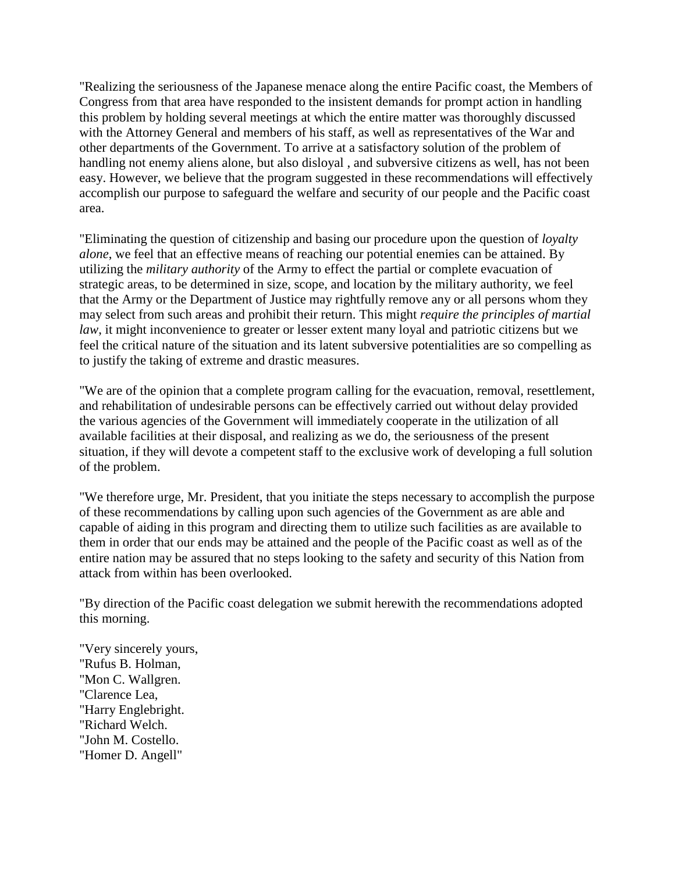"Realizing the seriousness of the Japanese menace along the entire Pacific coast, the Members of Congress from that area have responded to the insistent demands for prompt action in handling this problem by holding several meetings at which the entire matter was thoroughly discussed with the Attorney General and members of his staff, as well as representatives of the War and other departments of the Government. To arrive at a satisfactory solution of the problem of handling not enemy aliens alone, but also disloyal , and subversive citizens as well, has not been easy. However, we believe that the program suggested in these recommendations will effectively accomplish our purpose to safeguard the welfare and security of our people and the Pacific coast area.

"Eliminating the question of citizenship and basing our procedure upon the question of *loyalty alone*, we feel that an effective means of reaching our potential enemies can be attained. By utilizing the *military authority* of the Army to effect the partial or complete evacuation of strategic areas, to be determined in size, scope, and location by the military authority, we feel that the Army or the Department of Justice may rightfully remove any or all persons whom they may select from such areas and prohibit their return. This might *require the principles of martial law*, it might inconvenience to greater or lesser extent many loyal and patriotic citizens but we feel the critical nature of the situation and its latent subversive potentialities are so compelling as to justify the taking of extreme and drastic measures.

"We are of the opinion that a complete program calling for the evacuation, removal, resettlement, and rehabilitation of undesirable persons can be effectively carried out without delay provided the various agencies of the Government will immediately cooperate in the utilization of all available facilities at their disposal, and realizing as we do, the seriousness of the present situation, if they will devote a competent staff to the exclusive work of developing a full solution of the problem.

"We therefore urge, Mr. President, that you initiate the steps necessary to accomplish the purpose of these recommendations by calling upon such agencies of the Government as are able and capable of aiding in this program and directing them to utilize such facilities as are available to them in order that our ends may be attained and the people of the Pacific coast as well as of the entire nation may be assured that no steps looking to the safety and security of this Nation from attack from within has been overlooked.

"By direction of the Pacific coast delegation we submit herewith the recommendations adopted this morning.

"Very sincerely yours, "Rufus B. Holman, "Mon C. Wallgren. "Clarence Lea, "Harry Englebright. "Richard Welch. "John M. Costello. "Homer D. Angell"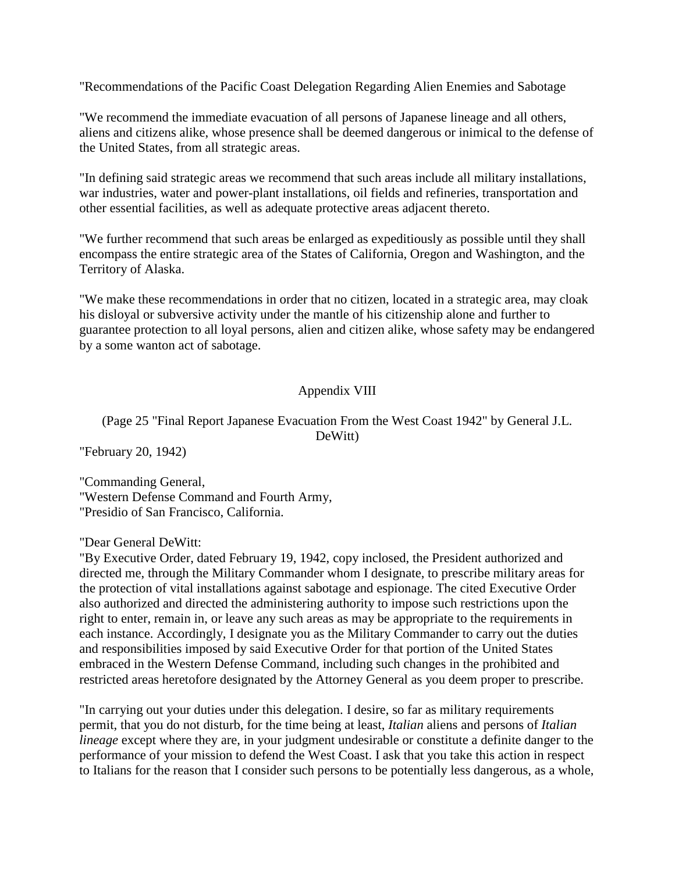"Recommendations of the Pacific Coast Delegation Regarding Alien Enemies and Sabotage

"We recommend the immediate evacuation of all persons of Japanese lineage and all others, aliens and citizens alike, whose presence shall be deemed dangerous or inimical to the defense of the United States, from all strategic areas.

"In defining said strategic areas we recommend that such areas include all military installations, war industries, water and power-plant installations, oil fields and refineries, transportation and other essential facilities, as well as adequate protective areas adjacent thereto.

"We further recommend that such areas be enlarged as expeditiously as possible until they shall encompass the entire strategic area of the States of California, Oregon and Washington, and the Territory of Alaska.

"We make these recommendations in order that no citizen, located in a strategic area, may cloak his disloyal or subversive activity under the mantle of his citizenship alone and further to guarantee protection to all loyal persons, alien and citizen alike, whose safety may be endangered by a some wanton act of sabotage.

# Appendix VIII

### (Page 25 "Final Report Japanese Evacuation From the West Coast 1942" by General J.L. DeWitt)

"February 20, 1942)

"Commanding General, "Western Defense Command and Fourth Army, "Presidio of San Francisco, California.

"Dear General DeWitt:

"By Executive Order, dated February 19, 1942, copy inclosed, the President authorized and directed me, through the Military Commander whom I designate, to prescribe military areas for the protection of vital installations against sabotage and espionage. The cited Executive Order also authorized and directed the administering authority to impose such restrictions upon the right to enter, remain in, or leave any such areas as may be appropriate to the requirements in each instance. Accordingly, I designate you as the Military Commander to carry out the duties and responsibilities imposed by said Executive Order for that portion of the United States embraced in the Western Defense Command, including such changes in the prohibited and restricted areas heretofore designated by the Attorney General as you deem proper to prescribe.

"In carrying out your duties under this delegation. I desire, so far as military requirements permit, that you do not disturb, for the time being at least, *Italian* aliens and persons of *Italian lineage* except where they are, in your judgment undesirable or constitute a definite danger to the performance of your mission to defend the West Coast. I ask that you take this action in respect to Italians for the reason that I consider such persons to be potentially less dangerous, as a whole,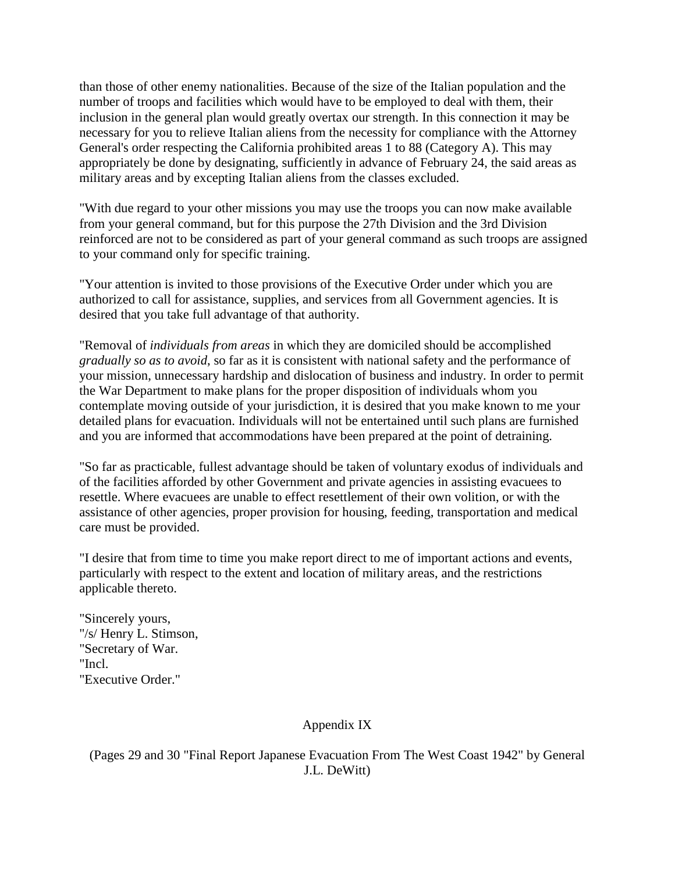than those of other enemy nationalities. Because of the size of the Italian population and the number of troops and facilities which would have to be employed to deal with them, their inclusion in the general plan would greatly overtax our strength. In this connection it may be necessary for you to relieve Italian aliens from the necessity for compliance with the Attorney General's order respecting the California prohibited areas 1 to 88 (Category A). This may appropriately be done by designating, sufficiently in advance of February 24, the said areas as military areas and by excepting Italian aliens from the classes excluded.

"With due regard to your other missions you may use the troops you can now make available from your general command, but for this purpose the 27th Division and the 3rd Division reinforced are not to be considered as part of your general command as such troops are assigned to your command only for specific training.

"Your attention is invited to those provisions of the Executive Order under which you are authorized to call for assistance, supplies, and services from all Government agencies. It is desired that you take full advantage of that authority.

"Removal of *individuals from areas* in which they are domiciled should be accomplished *gradually so as to avoid*, so far as it is consistent with national safety and the performance of your mission, unnecessary hardship and dislocation of business and industry. In order to permit the War Department to make plans for the proper disposition of individuals whom you contemplate moving outside of your jurisdiction, it is desired that you make known to me your detailed plans for evacuation. Individuals will not be entertained until such plans are furnished and you are informed that accommodations have been prepared at the point of detraining.

"So far as practicable, fullest advantage should be taken of voluntary exodus of individuals and of the facilities afforded by other Government and private agencies in assisting evacuees to resettle. Where evacuees are unable to effect resettlement of their own volition, or with the assistance of other agencies, proper provision for housing, feeding, transportation and medical care must be provided.

"I desire that from time to time you make report direct to me of important actions and events, particularly with respect to the extent and location of military areas, and the restrictions applicable thereto.

"Sincerely yours, "/s/ Henry L. Stimson, "Secretary of War. "Incl. "Executive Order."

### Appendix IX

(Pages 29 and 30 "Final Report Japanese Evacuation From The West Coast 1942" by General J.L. DeWitt)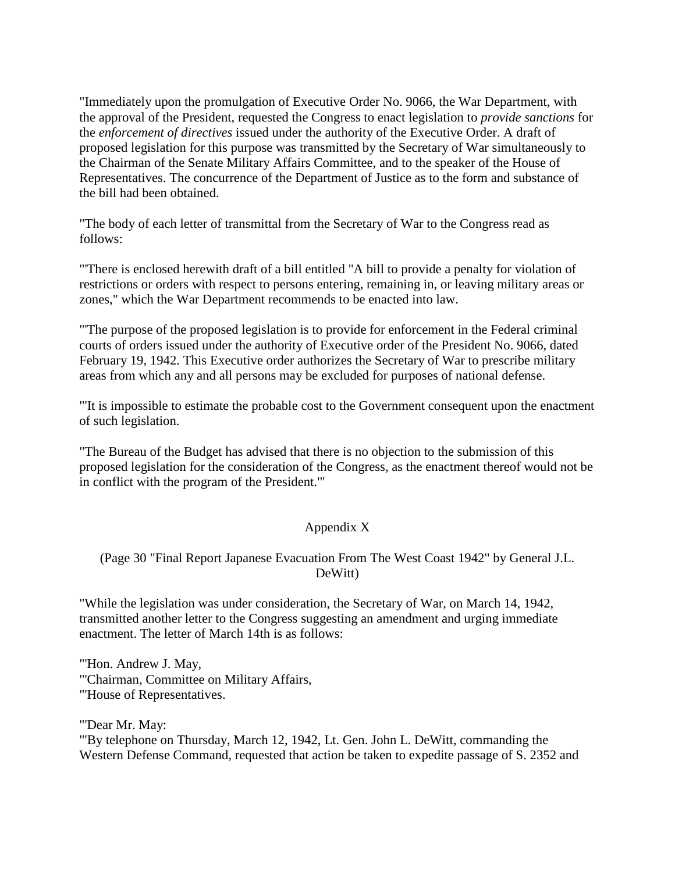"Immediately upon the promulgation of Executive Order No. 9066, the War Department, with the approval of the President, requested the Congress to enact legislation to *provide sanctions* for the *enforcement of directives* issued under the authority of the Executive Order. A draft of proposed legislation for this purpose was transmitted by the Secretary of War simultaneously to the Chairman of the Senate Military Affairs Committee, and to the speaker of the House of Representatives. The concurrence of the Department of Justice as to the form and substance of the bill had been obtained.

"The body of each letter of transmittal from the Secretary of War to the Congress read as follows:

"'There is enclosed herewith draft of a bill entitled "A bill to provide a penalty for violation of restrictions or orders with respect to persons entering, remaining in, or leaving military areas or zones," which the War Department recommends to be enacted into law.

"'The purpose of the proposed legislation is to provide for enforcement in the Federal criminal courts of orders issued under the authority of Executive order of the President No. 9066, dated February 19, 1942. This Executive order authorizes the Secretary of War to prescribe military areas from which any and all persons may be excluded for purposes of national defense.

"'It is impossible to estimate the probable cost to the Government consequent upon the enactment of such legislation.

"The Bureau of the Budget has advised that there is no objection to the submission of this proposed legislation for the consideration of the Congress, as the enactment thereof would not be in conflict with the program of the President.'"

### Appendix X

### (Page 30 "Final Report Japanese Evacuation From The West Coast 1942" by General J.L. DeWitt)

"While the legislation was under consideration, the Secretary of War, on March 14, 1942, transmitted another letter to the Congress suggesting an amendment and urging immediate enactment. The letter of March 14th is as follows:

"'Hon. Andrew J. May, "'Chairman, Committee on Military Affairs,

"'House of Representatives.

"'Dear Mr. May:

"'By telephone on Thursday, March 12, 1942, Lt. Gen. John L. DeWitt, commanding the Western Defense Command, requested that action be taken to expedite passage of S. 2352 and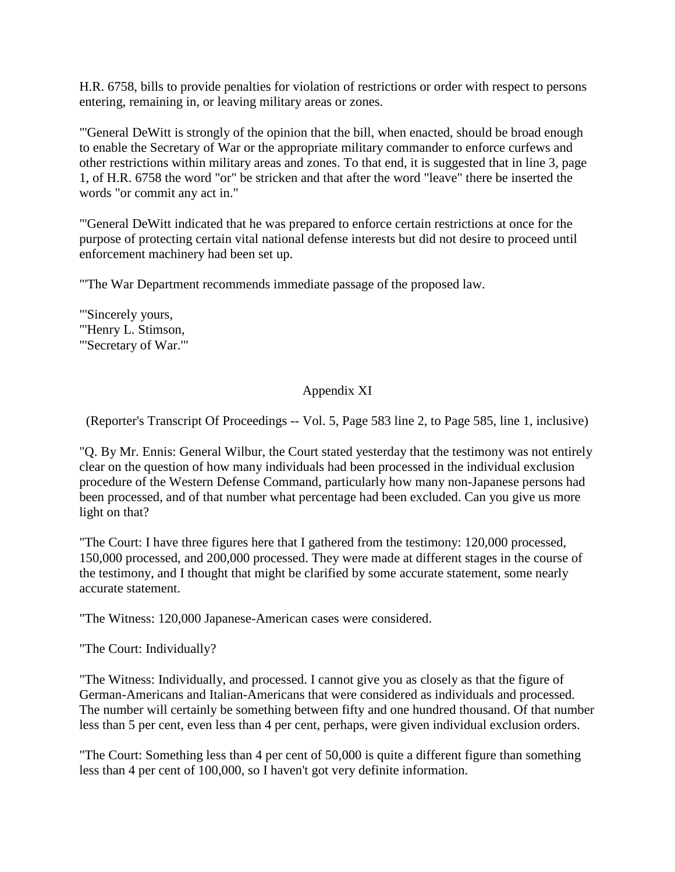H.R. 6758, bills to provide penalties for violation of restrictions or order with respect to persons entering, remaining in, or leaving military areas or zones.

"'General DeWitt is strongly of the opinion that the bill, when enacted, should be broad enough to enable the Secretary of War or the appropriate military commander to enforce curfews and other restrictions within military areas and zones. To that end, it is suggested that in line 3, page 1, of H.R. 6758 the word "or" be stricken and that after the word "leave" there be inserted the words "or commit any act in."

"'General DeWitt indicated that he was prepared to enforce certain restrictions at once for the purpose of protecting certain vital national defense interests but did not desire to proceed until enforcement machinery had been set up.

"'The War Department recommends immediate passage of the proposed law.

"'Sincerely yours, "'Henry L. Stimson, "'Secretary of War.'"

# Appendix XI

(Reporter's Transcript Of Proceedings -- Vol. 5, Page 583 line 2, to Page 585, line 1, inclusive)

"Q. By Mr. Ennis: General Wilbur, the Court stated yesterday that the testimony was not entirely clear on the question of how many individuals had been processed in the individual exclusion procedure of the Western Defense Command, particularly how many non-Japanese persons had been processed, and of that number what percentage had been excluded. Can you give us more light on that?

"The Court: I have three figures here that I gathered from the testimony: 120,000 processed, 150,000 processed, and 200,000 processed. They were made at different stages in the course of the testimony, and I thought that might be clarified by some accurate statement, some nearly accurate statement.

"The Witness: 120,000 Japanese-American cases were considered.

"The Court: Individually?

"The Witness: Individually, and processed. I cannot give you as closely as that the figure of German-Americans and Italian-Americans that were considered as individuals and processed. The number will certainly be something between fifty and one hundred thousand. Of that number less than 5 per cent, even less than 4 per cent, perhaps, were given individual exclusion orders.

"The Court: Something less than 4 per cent of 50,000 is quite a different figure than something less than 4 per cent of 100,000, so I haven't got very definite information.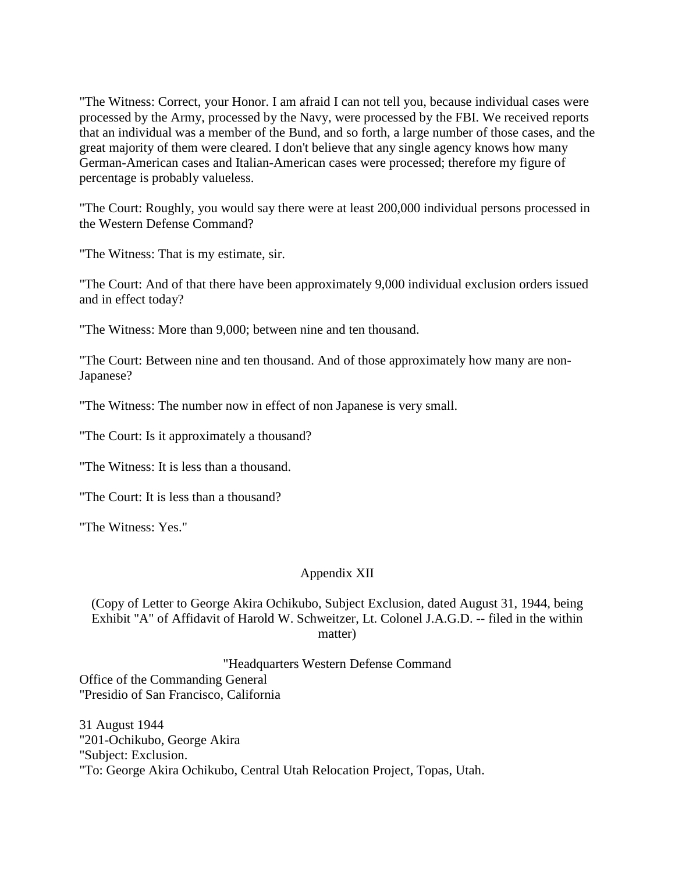"The Witness: Correct, your Honor. I am afraid I can not tell you, because individual cases were processed by the Army, processed by the Navy, were processed by the FBI. We received reports that an individual was a member of the Bund, and so forth, a large number of those cases, and the great majority of them were cleared. I don't believe that any single agency knows how many German-American cases and Italian-American cases were processed; therefore my figure of percentage is probably valueless.

"The Court: Roughly, you would say there were at least 200,000 individual persons processed in the Western Defense Command?

"The Witness: That is my estimate, sir.

"The Court: And of that there have been approximately 9,000 individual exclusion orders issued and in effect today?

"The Witness: More than 9,000; between nine and ten thousand.

"The Court: Between nine and ten thousand. And of those approximately how many are non-Japanese?

"The Witness: The number now in effect of non Japanese is very small.

"The Court: Is it approximately a thousand?

"The Witness: It is less than a thousand.

"The Court: It is less than a thousand?

"The Witness: Yes."

### Appendix XII

(Copy of Letter to George Akira Ochikubo, Subject Exclusion, dated August 31, 1944, being Exhibit "A" of Affidavit of Harold W. Schweitzer, Lt. Colonel J.A.G.D. -- filed in the within matter)

"Headquarters Western Defense Command

Office of the Commanding General "Presidio of San Francisco, California

31 August 1944 "201-Ochikubo, George Akira "Subject: Exclusion. "To: George Akira Ochikubo, Central Utah Relocation Project, Topas, Utah.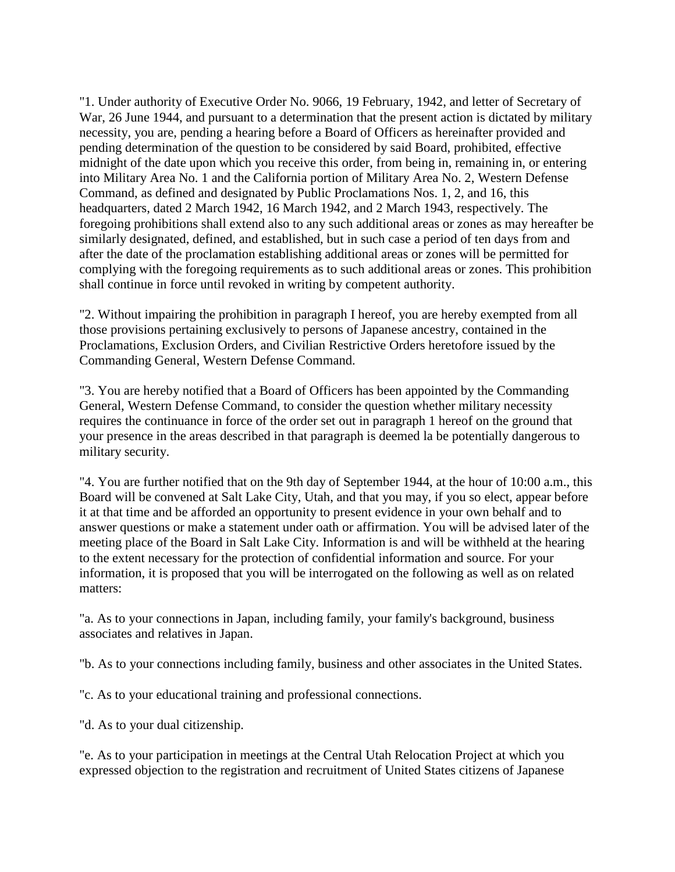"1. Under authority of Executive Order No. 9066, 19 February, 1942, and letter of Secretary of War, 26 June 1944, and pursuant to a determination that the present action is dictated by military necessity, you are, pending a hearing before a Board of Officers as hereinafter provided and pending determination of the question to be considered by said Board, prohibited, effective midnight of the date upon which you receive this order, from being in, remaining in, or entering into Military Area No. 1 and the California portion of Military Area No. 2, Western Defense Command, as defined and designated by Public Proclamations Nos. 1, 2, and 16, this headquarters, dated 2 March 1942, 16 March 1942, and 2 March 1943, respectively. The foregoing prohibitions shall extend also to any such additional areas or zones as may hereafter be similarly designated, defined, and established, but in such case a period of ten days from and after the date of the proclamation establishing additional areas or zones will be permitted for complying with the foregoing requirements as to such additional areas or zones. This prohibition shall continue in force until revoked in writing by competent authority.

"2. Without impairing the prohibition in paragraph I hereof, you are hereby exempted from all those provisions pertaining exclusively to persons of Japanese ancestry, contained in the Proclamations, Exclusion Orders, and Civilian Restrictive Orders heretofore issued by the Commanding General, Western Defense Command.

"3. You are hereby notified that a Board of Officers has been appointed by the Commanding General, Western Defense Command, to consider the question whether military necessity requires the continuance in force of the order set out in paragraph 1 hereof on the ground that your presence in the areas described in that paragraph is deemed la be potentially dangerous to military security.

"4. You are further notified that on the 9th day of September 1944, at the hour of 10:00 a.m., this Board will be convened at Salt Lake City, Utah, and that you may, if you so elect, appear before it at that time and be afforded an opportunity to present evidence in your own behalf and to answer questions or make a statement under oath or affirmation. You will be advised later of the meeting place of the Board in Salt Lake City. Information is and will be withheld at the hearing to the extent necessary for the protection of confidential information and source. For your information, it is proposed that you will be interrogated on the following as well as on related matters:

"a. As to your connections in Japan, including family, your family's background, business associates and relatives in Japan.

"b. As to your connections including family, business and other associates in the United States.

"c. As to your educational training and professional connections.

"d. As to your dual citizenship.

"e. As to your participation in meetings at the Central Utah Relocation Project at which you expressed objection to the registration and recruitment of United States citizens of Japanese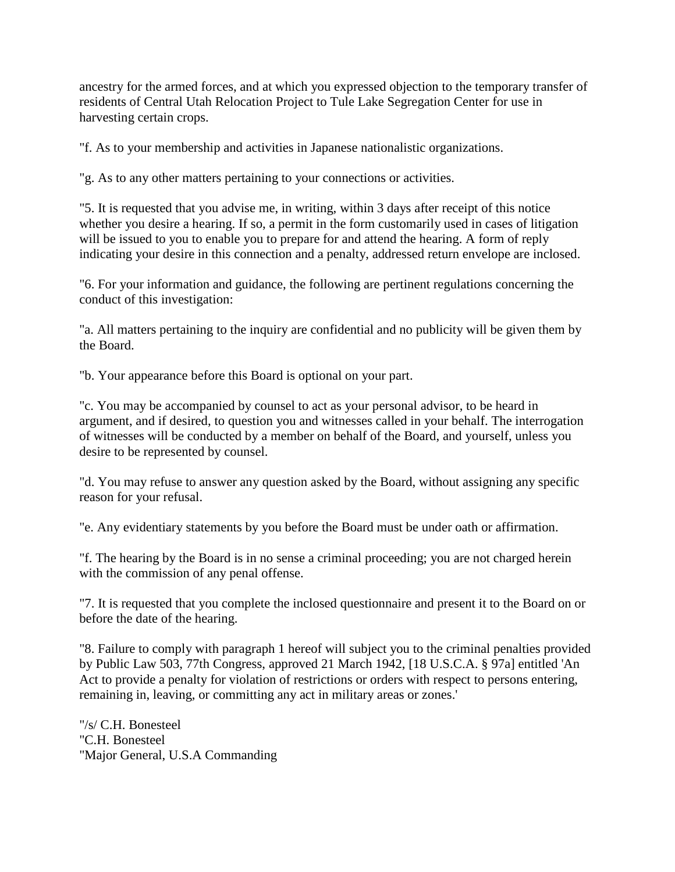ancestry for the armed forces, and at which you expressed objection to the temporary transfer of residents of Central Utah Relocation Project to Tule Lake Segregation Center for use in harvesting certain crops.

"f. As to your membership and activities in Japanese nationalistic organizations.

"g. As to any other matters pertaining to your connections or activities.

"5. It is requested that you advise me, in writing, within 3 days after receipt of this notice whether you desire a hearing. If so, a permit in the form customarily used in cases of litigation will be issued to you to enable you to prepare for and attend the hearing. A form of reply indicating your desire in this connection and a penalty, addressed return envelope are inclosed.

"6. For your information and guidance, the following are pertinent regulations concerning the conduct of this investigation:

"a. All matters pertaining to the inquiry are confidential and no publicity will be given them by the Board.

"b. Your appearance before this Board is optional on your part.

"c. You may be accompanied by counsel to act as your personal advisor, to be heard in argument, and if desired, to question you and witnesses called in your behalf. The interrogation of witnesses will be conducted by a member on behalf of the Board, and yourself, unless you desire to be represented by counsel.

"d. You may refuse to answer any question asked by the Board, without assigning any specific reason for your refusal.

"e. Any evidentiary statements by you before the Board must be under oath or affirmation.

"f. The hearing by the Board is in no sense a criminal proceeding; you are not charged herein with the commission of any penal offense.

"7. It is requested that you complete the inclosed questionnaire and present it to the Board on or before the date of the hearing.

"8. Failure to comply with paragraph 1 hereof will subject you to the criminal penalties provided by Public Law 503, 77th Congress, approved 21 March 1942, [18 U.S.C.A. § 97a] entitled 'An Act to provide a penalty for violation of restrictions or orders with respect to persons entering, remaining in, leaving, or committing any act in military areas or zones.'

"/s/ C.H. Bonesteel "C.H. Bonesteel "Major General, U.S.A Commanding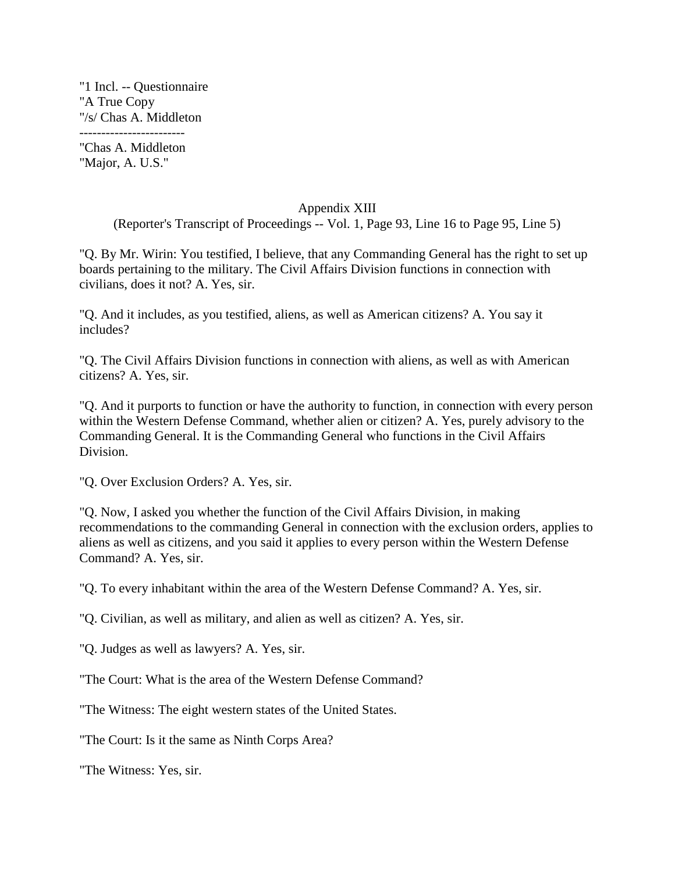"1 Incl. -- Questionnaire "A True Copy "/s/ Chas A. Middleton

"Chas A. Middleton "Major, A. U.S."

#### Appendix XIII

(Reporter's Transcript of Proceedings -- Vol. 1, Page 93, Line 16 to Page 95, Line 5)

"Q. By Mr. Wirin: You testified, I believe, that any Commanding General has the right to set up boards pertaining to the military. The Civil Affairs Division functions in connection with civilians, does it not? A. Yes, sir.

"Q. And it includes, as you testified, aliens, as well as American citizens? A. You say it includes?

"Q. The Civil Affairs Division functions in connection with aliens, as well as with American citizens? A. Yes, sir.

"Q. And it purports to function or have the authority to function, in connection with every person within the Western Defense Command, whether alien or citizen? A. Yes, purely advisory to the Commanding General. It is the Commanding General who functions in the Civil Affairs Division.

"Q. Over Exclusion Orders? A. Yes, sir.

"Q. Now, I asked you whether the function of the Civil Affairs Division, in making recommendations to the commanding General in connection with the exclusion orders, applies to aliens as well as citizens, and you said it applies to every person within the Western Defense Command? A. Yes, sir.

"Q. To every inhabitant within the area of the Western Defense Command? A. Yes, sir.

"Q. Civilian, as well as military, and alien as well as citizen? A. Yes, sir.

"Q. Judges as well as lawyers? A. Yes, sir.

"The Court: What is the area of the Western Defense Command?

"The Witness: The eight western states of the United States.

"The Court: Is it the same as Ninth Corps Area?

"The Witness: Yes, sir.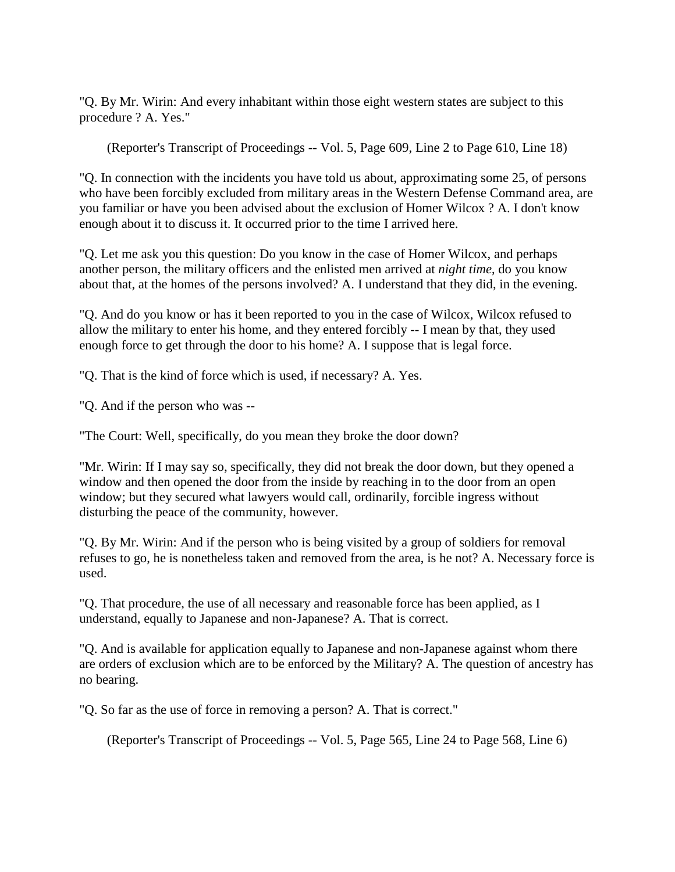"Q. By Mr. Wirin: And every inhabitant within those eight western states are subject to this procedure ? A. Yes."

(Reporter's Transcript of Proceedings -- Vol. 5, Page 609, Line 2 to Page 610, Line 18)

"Q. In connection with the incidents you have told us about, approximating some 25, of persons who have been forcibly excluded from military areas in the Western Defense Command area, are you familiar or have you been advised about the exclusion of Homer Wilcox ? A. I don't know enough about it to discuss it. It occurred prior to the time I arrived here.

"Q. Let me ask you this question: Do you know in the case of Homer Wilcox, and perhaps another person, the military officers and the enlisted men arrived at *night time*, do you know about that, at the homes of the persons involved? A. I understand that they did, in the evening.

"Q. And do you know or has it been reported to you in the case of Wilcox, Wilcox refused to allow the military to enter his home, and they entered forcibly -- I mean by that, they used enough force to get through the door to his home? A. I suppose that is legal force.

"Q. That is the kind of force which is used, if necessary? A. Yes.

"Q. And if the person who was --

"The Court: Well, specifically, do you mean they broke the door down?

"Mr. Wirin: If I may say so, specifically, they did not break the door down, but they opened a window and then opened the door from the inside by reaching in to the door from an open window; but they secured what lawyers would call, ordinarily, forcible ingress without disturbing the peace of the community, however.

"Q. By Mr. Wirin: And if the person who is being visited by a group of soldiers for removal refuses to go, he is nonetheless taken and removed from the area, is he not? A. Necessary force is used.

"Q. That procedure, the use of all necessary and reasonable force has been applied, as I understand, equally to Japanese and non-Japanese? A. That is correct.

"Q. And is available for application equally to Japanese and non-Japanese against whom there are orders of exclusion which are to be enforced by the Military? A. The question of ancestry has no bearing.

"Q. So far as the use of force in removing a person? A. That is correct."

(Reporter's Transcript of Proceedings -- Vol. 5, Page 565, Line 24 to Page 568, Line 6)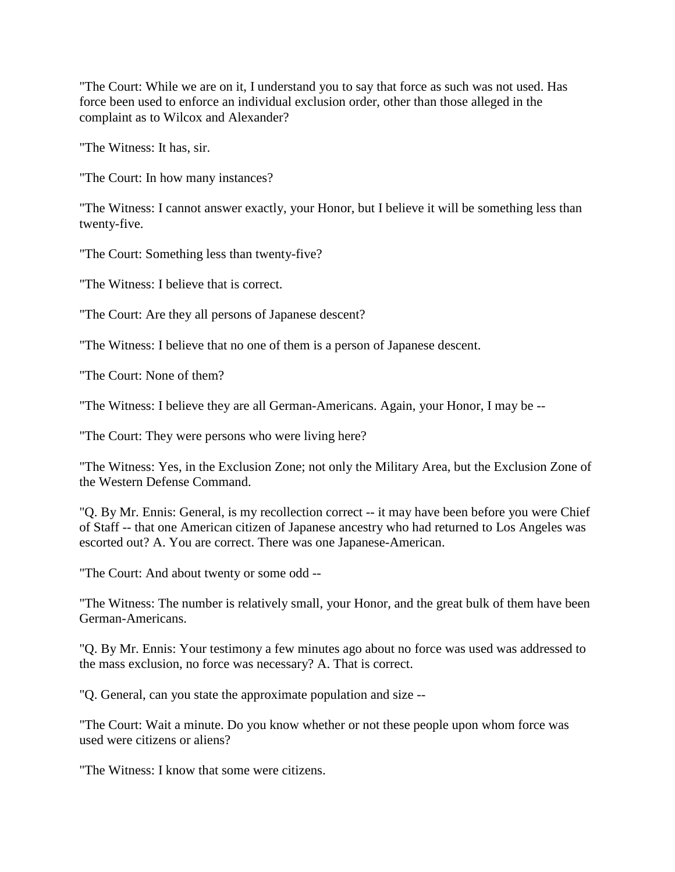"The Court: While we are on it, I understand you to say that force as such was not used. Has force been used to enforce an individual exclusion order, other than those alleged in the complaint as to Wilcox and Alexander?

"The Witness: It has, sir.

"The Court: In how many instances?

"The Witness: I cannot answer exactly, your Honor, but I believe it will be something less than twenty-five.

"The Court: Something less than twenty-five?

"The Witness: I believe that is correct.

"The Court: Are they all persons of Japanese descent?

"The Witness: I believe that no one of them is a person of Japanese descent.

"The Court: None of them?

"The Witness: I believe they are all German-Americans. Again, your Honor, I may be --

"The Court: They were persons who were living here?

"The Witness: Yes, in the Exclusion Zone; not only the Military Area, but the Exclusion Zone of the Western Defense Command.

"Q. By Mr. Ennis: General, is my recollection correct -- it may have been before you were Chief of Staff -- that one American citizen of Japanese ancestry who had returned to Los Angeles was escorted out? A. You are correct. There was one Japanese-American.

"The Court: And about twenty or some odd --

"The Witness: The number is relatively small, your Honor, and the great bulk of them have been German-Americans.

"Q. By Mr. Ennis: Your testimony a few minutes ago about no force was used was addressed to the mass exclusion, no force was necessary? A. That is correct.

"Q. General, can you state the approximate population and size --

"The Court: Wait a minute. Do you know whether or not these people upon whom force was used were citizens or aliens?

"The Witness: I know that some were citizens.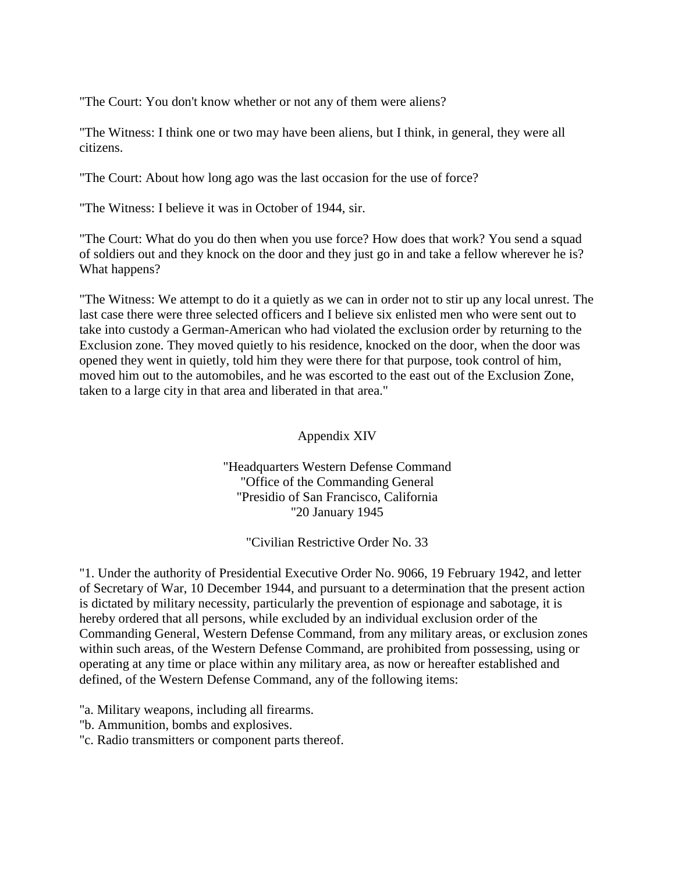"The Court: You don't know whether or not any of them were aliens?

"The Witness: I think one or two may have been aliens, but I think, in general, they were all citizens.

"The Court: About how long ago was the last occasion for the use of force?

"The Witness: I believe it was in October of 1944, sir.

"The Court: What do you do then when you use force? How does that work? You send a squad of soldiers out and they knock on the door and they just go in and take a fellow wherever he is? What happens?

"The Witness: We attempt to do it a quietly as we can in order not to stir up any local unrest. The last case there were three selected officers and I believe six enlisted men who were sent out to take into custody a German-American who had violated the exclusion order by returning to the Exclusion zone. They moved quietly to his residence, knocked on the door, when the door was opened they went in quietly, told him they were there for that purpose, took control of him, moved him out to the automobiles, and he was escorted to the east out of the Exclusion Zone, taken to a large city in that area and liberated in that area."

Appendix XIV

"Headquarters Western Defense Command "Office of the Commanding General "Presidio of San Francisco, California "20 January 1945

"Civilian Restrictive Order No. 33

"1. Under the authority of Presidential Executive Order No. 9066, 19 February 1942, and letter of Secretary of War, 10 December 1944, and pursuant to a determination that the present action is dictated by military necessity, particularly the prevention of espionage and sabotage, it is hereby ordered that all persons, while excluded by an individual exclusion order of the Commanding General, Western Defense Command, from any military areas, or exclusion zones within such areas, of the Western Defense Command, are prohibited from possessing, using or operating at any time or place within any military area, as now or hereafter established and defined, of the Western Defense Command, any of the following items:

"a. Military weapons, including all firearms.

"b. Ammunition, bombs and explosives.

"c. Radio transmitters or component parts thereof.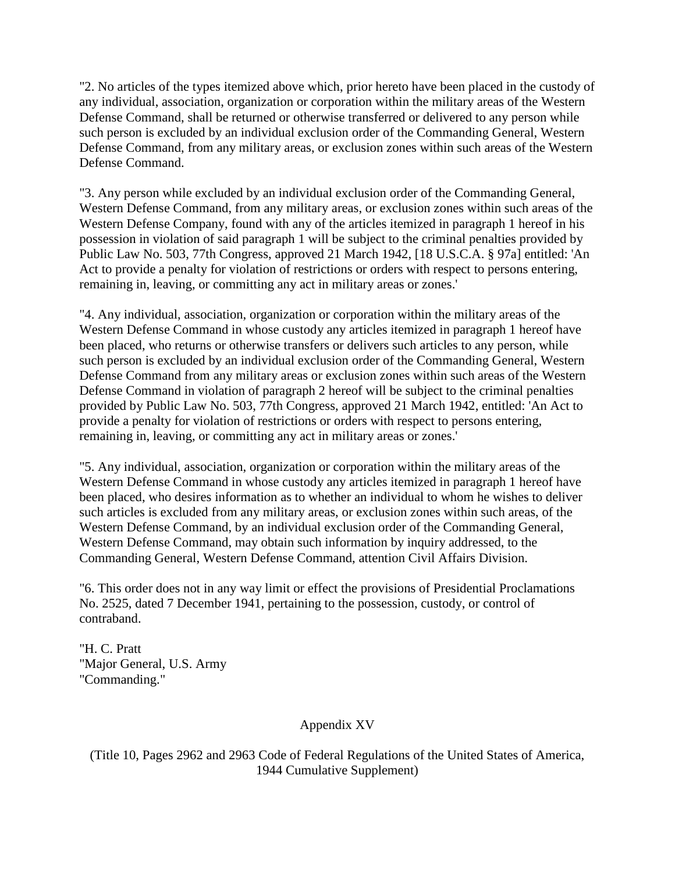"2. No articles of the types itemized above which, prior hereto have been placed in the custody of any individual, association, organization or corporation within the military areas of the Western Defense Command, shall be returned or otherwise transferred or delivered to any person while such person is excluded by an individual exclusion order of the Commanding General, Western Defense Command, from any military areas, or exclusion zones within such areas of the Western Defense Command.

"3. Any person while excluded by an individual exclusion order of the Commanding General, Western Defense Command, from any military areas, or exclusion zones within such areas of the Western Defense Company, found with any of the articles itemized in paragraph 1 hereof in his possession in violation of said paragraph 1 will be subject to the criminal penalties provided by Public Law No. 503, 77th Congress, approved 21 March 1942, [18 U.S.C.A. § 97a] entitled: 'An Act to provide a penalty for violation of restrictions or orders with respect to persons entering, remaining in, leaving, or committing any act in military areas or zones.'

"4. Any individual, association, organization or corporation within the military areas of the Western Defense Command in whose custody any articles itemized in paragraph 1 hereof have been placed, who returns or otherwise transfers or delivers such articles to any person, while such person is excluded by an individual exclusion order of the Commanding General, Western Defense Command from any military areas or exclusion zones within such areas of the Western Defense Command in violation of paragraph 2 hereof will be subject to the criminal penalties provided by Public Law No. 503, 77th Congress, approved 21 March 1942, entitled: 'An Act to provide a penalty for violation of restrictions or orders with respect to persons entering, remaining in, leaving, or committing any act in military areas or zones.'

"5. Any individual, association, organization or corporation within the military areas of the Western Defense Command in whose custody any articles itemized in paragraph 1 hereof have been placed, who desires information as to whether an individual to whom he wishes to deliver such articles is excluded from any military areas, or exclusion zones within such areas, of the Western Defense Command, by an individual exclusion order of the Commanding General, Western Defense Command, may obtain such information by inquiry addressed, to the Commanding General, Western Defense Command, attention Civil Affairs Division.

"6. This order does not in any way limit or effect the provisions of Presidential Proclamations No. 2525, dated 7 December 1941, pertaining to the possession, custody, or control of contraband.

"H. C. Pratt "Major General, U.S. Army "Commanding."

Appendix XV

(Title 10, Pages 2962 and 2963 Code of Federal Regulations of the United States of America, 1944 Cumulative Supplement)